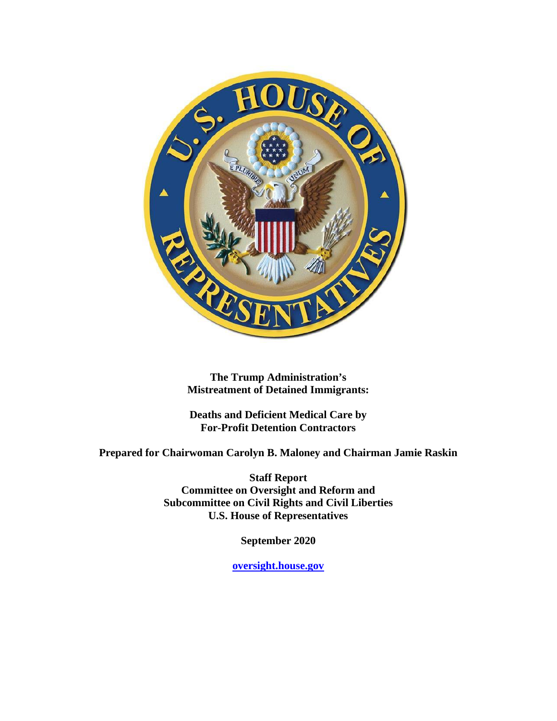

**The Trump Administration's Mistreatment of Detained Immigrants:**

**Deaths and Deficient Medical Care by For-Profit Detention Contractors**

**Prepared for Chairwoman Carolyn B. Maloney and Chairman Jamie Raskin**

**Staff Report Committee on Oversight and Reform and Subcommittee on Civil Rights and Civil Liberties U.S. House of Representatives**

**September 2020**

**oversight.house.gov**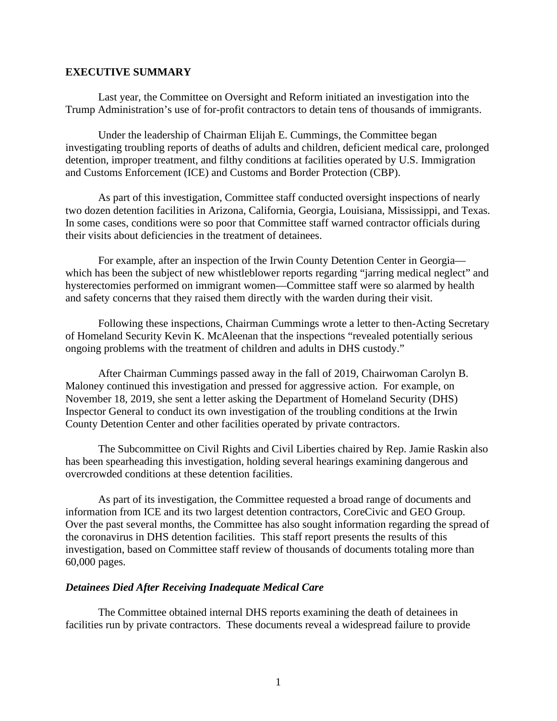#### <span id="page-1-0"></span>**EXECUTIVE SUMMARY**

Last year, the Committee on Oversight and Reform initiated an investigation into the Trump Administration's use of for-profit contractors to detain tens of thousands of immigrants.

Under the leadership of Chairman Elijah E. Cummings, the Committee began investigating troubling reports of deaths of adults and children, deficient medical care, prolonged detention, improper treatment, and filthy conditions at facilities operated by U.S. Immigration and Customs Enforcement (ICE) and Customs and Border Protection (CBP).

As part of this investigation, Committee staff conducted oversight inspections of nearly two dozen detention facilities in Arizona, California, Georgia, Louisiana, Mississippi, and Texas. In some cases, conditions were so poor that Committee staff warned contractor officials during their visits about deficiencies in the treatment of detainees.

For example, after an inspection of the Irwin County Detention Center in Georgia which has been the subject of new whistleblower reports regarding "jarring medical neglect" and hysterectomies performed on immigrant women—Committee staff were so alarmed by health and safety concerns that they raised them directly with the warden during their visit.

Following these inspections, Chairman Cummings wrote a letter to then-Acting Secretary of Homeland Security Kevin K. McAleenan that the inspections "revealed potentially serious ongoing problems with the treatment of children and adults in DHS custody."

After Chairman Cummings passed away in the fall of 2019, Chairwoman Carolyn B. Maloney continued this investigation and pressed for aggressive action. For example, on November 18, 2019, she sent a letter asking the Department of Homeland Security (DHS) Inspector General to conduct its own investigation of the troubling conditions at the Irwin County Detention Center and other facilities operated by private contractors.

The Subcommittee on Civil Rights and Civil Liberties chaired by Rep. Jamie Raskin also has been spearheading this investigation, holding several hearings examining dangerous and overcrowded conditions at these detention facilities.

As part of its investigation, the Committee requested a broad range of documents and information from ICE and its two largest detention contractors, CoreCivic and GEO Group. Over the past several months, the Committee has also sought information regarding the spread of the coronavirus in DHS detention facilities. This staff report presents the results of this investigation, based on Committee staff review of thousands of documents totaling more than 60,000 pages.

#### *Detainees Died After Receiving Inadequate Medical Care*

The Committee obtained internal DHS reports examining the death of detainees in facilities run by private contractors. These documents reveal a widespread failure to provide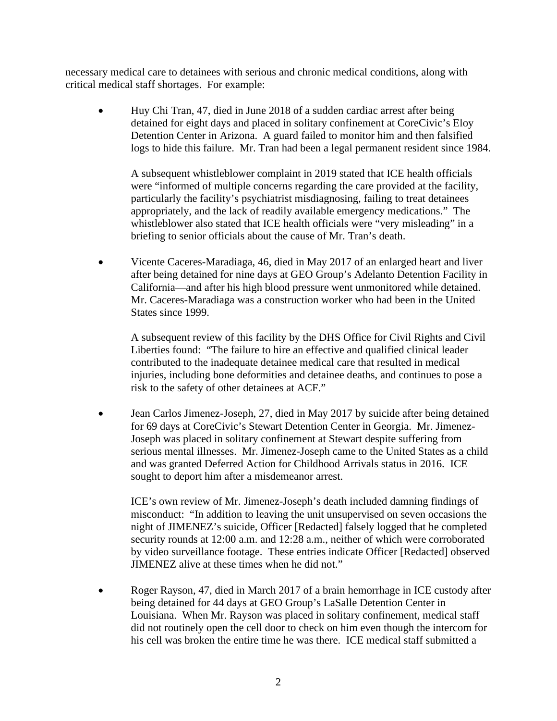necessary medical care to detainees with serious and chronic medical conditions, along with critical medical staff shortages. For example:

• Huy Chi Tran, 47, died in June 2018 of a sudden cardiac arrest after being detained for eight days and placed in solitary confinement at CoreCivic's Eloy Detention Center in Arizona. A guard failed to monitor him and then falsified logs to hide this failure. Mr. Tran had been a legal permanent resident since 1984.

A subsequent whistleblower complaint in 2019 stated that ICE health officials were "informed of multiple concerns regarding the care provided at the facility, particularly the facility's psychiatrist misdiagnosing, failing to treat detainees appropriately, and the lack of readily available emergency medications." The whistleblower also stated that ICE health officials were "very misleading" in a briefing to senior officials about the cause of Mr. Tran's death.

• Vicente Caceres-Maradiaga, 46, died in May 2017 of an enlarged heart and liver after being detained for nine days at GEO Group's Adelanto Detention Facility in California—and after his high blood pressure went unmonitored while detained. Mr. Caceres-Maradiaga was a construction worker who had been in the United States since 1999.

A subsequent review of this facility by the DHS Office for Civil Rights and Civil Liberties found: "The failure to hire an effective and qualified clinical leader contributed to the inadequate detainee medical care that resulted in medical injuries, including bone deformities and detainee deaths, and continues to pose a risk to the safety of other detainees at ACF."

• Jean Carlos Jimenez-Joseph, 27, died in May 2017 by suicide after being detained for 69 days at CoreCivic's Stewart Detention Center in Georgia. Mr. Jimenez-Joseph was placed in solitary confinement at Stewart despite suffering from serious mental illnesses. Mr. Jimenez-Joseph came to the United States as a child and was granted Deferred Action for Childhood Arrivals status in 2016. ICE sought to deport him after a misdemeanor arrest.

ICE's own review of Mr. Jimenez-Joseph's death included damning findings of misconduct: "In addition to leaving the unit unsupervised on seven occasions the night of JIMENEZ's suicide, Officer [Redacted] falsely logged that he completed security rounds at 12:00 a.m. and 12:28 a.m., neither of which were corroborated by video surveillance footage. These entries indicate Officer [Redacted] observed JIMENEZ alive at these times when he did not."

• Roger Rayson, 47, died in March 2017 of a brain hemorrhage in ICE custody after being detained for 44 days at GEO Group's LaSalle Detention Center in Louisiana. When Mr. Rayson was placed in solitary confinement, medical staff did not routinely open the cell door to check on him even though the intercom for his cell was broken the entire time he was there. ICE medical staff submitted a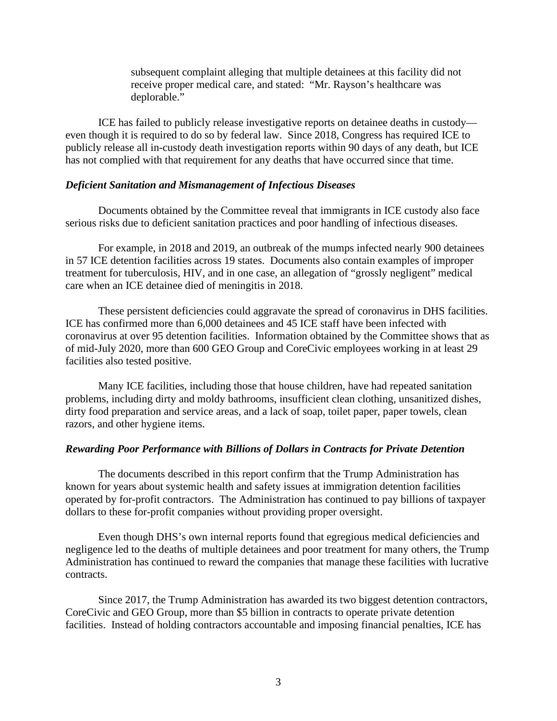subsequent complaint alleging that multiple detainees at this facility did not receive proper medical care, and stated: "Mr. Rayson's healthcare was deplorable."

ICE has failed to publicly release investigative reports on detainee deaths in custody even though it is required to do so by federal law. Since 2018, Congress has required ICE to publicly release all in-custody death investigation reports within 90 days of any death, but ICE has not complied with that requirement for any deaths that have occurred since that time.

#### *Deficient Sanitation and Mismanagement of Infectious Diseases*

Documents obtained by the Committee reveal that immigrants in ICE custody also face serious risks due to deficient sanitation practices and poor handling of infectious diseases.

For example, in 2018 and 2019, an outbreak of the mumps infected nearly 900 detainees in 57 ICE detention facilities across 19 states. Documents also contain examples of improper treatment for tuberculosis, HIV, and in one case, an allegation of "grossly negligent" medical care when an ICE detainee died of meningitis in 2018.

These persistent deficiencies could aggravate the spread of coronavirus in DHS facilities. ICE has confirmed more than 6,000 detainees and 45 ICE staff have been infected with coronavirus at over 95 detention facilities. Information obtained by the Committee shows that as of mid-July 2020, more than 600 GEO Group and CoreCivic employees working in at least 29 facilities also tested positive.

Many ICE facilities, including those that house children, have had repeated sanitation problems, including dirty and moldy bathrooms, insufficient clean clothing, unsanitized dishes, dirty food preparation and service areas, and a lack of soap, toilet paper, paper towels, clean razors, and other hygiene items.

#### *Rewarding Poor Performance with Billions of Dollars in Contracts for Private Detention*

The documents described in this report confirm that the Trump Administration has known for years about systemic health and safety issues at immigration detention facilities operated by for-profit contractors. The Administration has continued to pay billions of taxpayer dollars to these for-profit companies without providing proper oversight.

Even though DHS's own internal reports found that egregious medical deficiencies and negligence led to the deaths of multiple detainees and poor treatment for many others, the Trump Administration has continued to reward the companies that manage these facilities with lucrative contracts.

Since 2017, the Trump Administration has awarded its two biggest detention contractors, CoreCivic and GEO Group, more than \$5 billion in contracts to operate private detention facilities. Instead of holding contractors accountable and imposing financial penalties, ICE has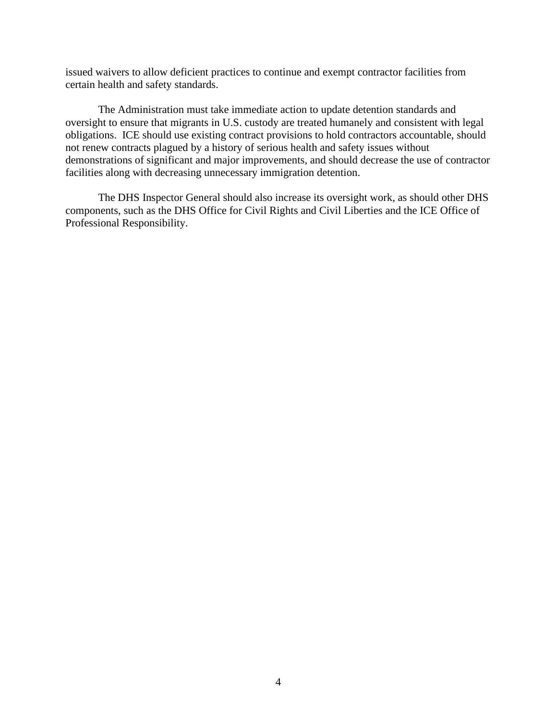issued waivers to allow deficient practices to continue and exempt contractor facilities from certain health and safety standards.

The Administration must take immediate action to update detention standards and oversight to ensure that migrants in U.S. custody are treated humanely and consistent with legal obligations. ICE should use existing contract provisions to hold contractors accountable, should not renew contracts plagued by a history of serious health and safety issues without demonstrations of significant and major improvements, and should decrease the use of contractor facilities along with decreasing unnecessary immigration detention.

The DHS Inspector General should also increase its oversight work, as should other DHS components, such as the DHS Office for Civil Rights and Civil Liberties and the ICE Office of Professional Responsibility.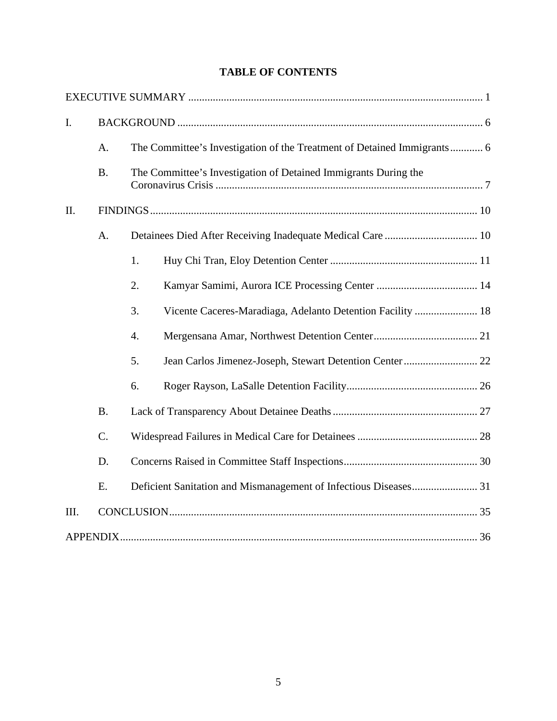# **TABLE OF CONTENTS**

| I.   |           |                                                                         |
|------|-----------|-------------------------------------------------------------------------|
|      | A.        | The Committee's Investigation of the Treatment of Detained Immigrants 6 |
|      | <b>B.</b> | The Committee's Investigation of Detained Immigrants During the         |
| II.  |           |                                                                         |
|      | A.        |                                                                         |
|      |           | 1.                                                                      |
|      |           | 2.                                                                      |
|      |           | Vicente Caceres-Maradiaga, Adelanto Detention Facility  18<br>3.        |
|      |           | $\overline{4}$ .                                                        |
|      |           | 5.                                                                      |
|      |           | 6.                                                                      |
|      | <b>B.</b> |                                                                         |
|      | $C$ .     |                                                                         |
|      | D.        |                                                                         |
|      | E.        |                                                                         |
| III. |           |                                                                         |
|      |           |                                                                         |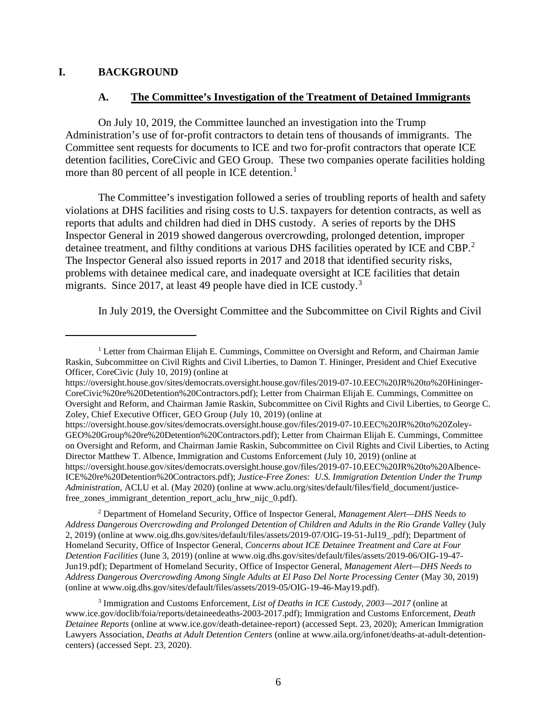#### <span id="page-6-0"></span>**I. BACKGROUND**

#### **A. The Committee's Investigation of the Treatment of Detained Immigrants**

<span id="page-6-1"></span>On July 10, 2019, the Committee launched an investigation into the Trump Administration's use of for-profit contractors to detain tens of thousands of immigrants. The Committee sent requests for documents to ICE and two for-profit contractors that operate ICE detention facilities, CoreCivic and GEO Group. These two companies operate facilities holding more than 80 percent of all people in ICE detention.<sup>[1](#page-6-2)</sup>

The Committee's investigation followed a series of troubling reports of health and safety violations at DHS facilities and rising costs to U.S. taxpayers for detention contracts, as well as reports that adults and children had died in DHS custody. A series of reports by the DHS Inspector General in 2019 showed dangerous overcrowding, prolonged detention, improper detainee treatment, and filthy conditions at various DHS facilities operated by ICE and CBP.<sup>[2](#page-6-3)</sup> The Inspector General also issued reports in 2017 and 2018 that identified security risks, problems with detainee medical care, and inadequate oversight at ICE facilities that detain migrants. Since 2017, at least 49 people have died in ICE custody.<sup>[3](#page-6-4)</sup>

In July 2019, the Oversight Committee and the Subcommittee on Civil Rights and Civil

https://oversight.house.gov/sites/democrats.oversight.house.gov/files/2019-07-10.EEC%20JR%20to%20Zoley-GEO%20Group%20re%20Detention%20Contractors.pdf); Letter from Chairman Elijah E. Cummings, Committee on Oversight and Reform, and Chairman Jamie Raskin, Subcommittee on Civil Rights and Civil Liberties, to Acting Director Matthew T. Albence, Immigration and Customs Enforcement (July 10, 2019) (online at https://oversight.house.gov/sites/democrats.oversight.house.gov/files/2019-07-10.EEC%20JR%20to%20Albence-ICE%20re%20Detention%20Contractors.pdf); *Justice-Free Zones: U.S. Immigration Detention Under the Trump Administration*, ACLU et al. (May 2020) (online at www.aclu.org/sites/default/files/field\_document/justicefree zones immigrant detention report aclu hrw nijc 0.pdf).

<span id="page-6-3"></span><sup>2</sup> Department of Homeland Security, Office of Inspector General, *Management Alert—DHS Needs to Address Dangerous Overcrowding and Prolonged Detention of Children and Adults in the Rio Grande Valley* (July 2, 2019) (online at www.oig.dhs.gov/sites/default/files/assets/2019-07/OIG-19-51-Jul19\_.pdf); Department of Homeland Security, Office of Inspector General, *Concerns about ICE Detainee Treatment and Care at Four Detention Facilities* (June 3, 2019) (online at www.oig.dhs.gov/sites/default/files/assets/2019-06/OIG-19-47- Jun19.pdf); Department of Homeland Security, Office of Inspector General, *Management Alert—DHS Needs to Address Dangerous Overcrowding Among Single Adults at El Paso Del Norte Processing Center* (May 30, 2019) (online at www.oig.dhs.gov/sites/default/files/assets/2019-05/OIG-19-46-May19.pdf).

<span id="page-6-2"></span> $<sup>1</sup>$  Letter from Chairman Elijah E. Cummings, Committee on Oversight and Reform, and Chairman Jamie</sup> Raskin, Subcommittee on Civil Rights and Civil Liberties, to Damon T. Hininger, President and Chief Executive Officer, CoreCivic (July 10, 2019) (online at

https://oversight.house.gov/sites/democrats.oversight.house.gov/files/2019-07-10.EEC%20JR%20to%20Hininger-CoreCivic%20re%20Detention%20Contractors.pdf); Letter from Chairman Elijah E. Cummings, Committee on Oversight and Reform, and Chairman Jamie Raskin, Subcommittee on Civil Rights and Civil Liberties, to George C. Zoley, Chief Executive Officer, GEO Group (July 10, 2019) (online at

<span id="page-6-4"></span><sup>3</sup> Immigration and Customs Enforcement, *List of Deaths in ICE Custody, 2003—2017* (online at www.ice.gov/doclib/foia/reports/detaineedeaths-2003-2017.pdf); Immigration and Customs Enforcement, *Death Detainee Reports* (online at www.ice.gov/death-detainee-report) (accessed Sept. 23, 2020); American Immigration Lawyers Association, *Deaths at Adult Detention Centers* (online at www.aila.org/infonet/deaths-at-adult-detentioncenters) (accessed Sept. 23, 2020).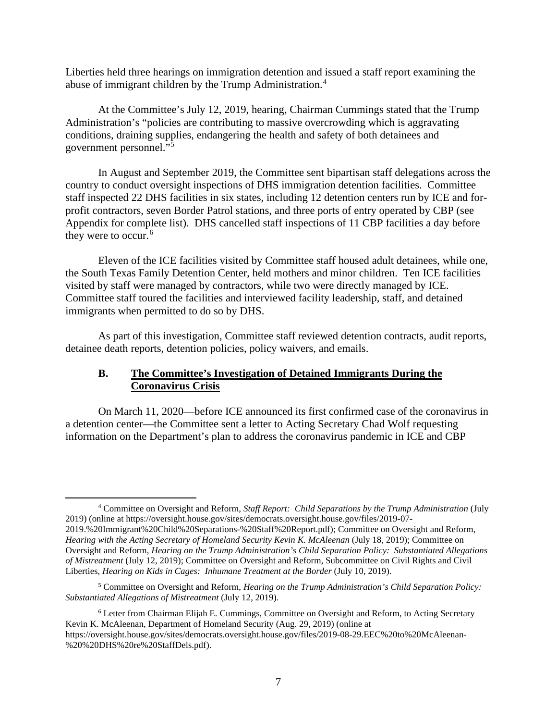Liberties held three hearings on immigration detention and issued a staff report examining the abuse of immigrant children by the Trump Administration.<sup>[4](#page-7-1)</sup>

At the Committee's July 12, 2019, hearing, Chairman Cummings stated that the Trump Administration's "policies are contributing to massive overcrowding which is aggravating conditions, draining supplies, endangering the health and safety of both detainees and government personnel."<sup>[5](#page-7-2)</sup>

In August and September 2019, the Committee sent bipartisan staff delegations across the country to conduct oversight inspections of DHS immigration detention facilities. Committee staff inspected 22 DHS facilities in six states, including 12 detention centers run by ICE and forprofit contractors, seven Border Patrol stations, and three ports of entry operated by CBP (see Appendix for complete list). DHS cancelled staff inspections of 11 CBP facilities a day before they were to occur.<sup>[6](#page-7-3)</sup>

Eleven of the ICE facilities visited by Committee staff housed adult detainees, while one, the South Texas Family Detention Center, held mothers and minor children. Ten ICE facilities visited by staff were managed by contractors, while two were directly managed by ICE. Committee staff toured the facilities and interviewed facility leadership, staff, and detained immigrants when permitted to do so by DHS.

As part of this investigation, Committee staff reviewed detention contracts, audit reports, detainee death reports, detention policies, policy waivers, and emails.

#### <span id="page-7-0"></span>**B. The Committee's Investigation of Detained Immigrants During the Coronavirus Crisis**

On March 11, 2020—before ICE announced its first confirmed case of the coronavirus in a detention center—the Committee sent a letter to Acting Secretary Chad Wolf requesting information on the Department's plan to address the coronavirus pandemic in ICE and CBP

<span id="page-7-1"></span><sup>4</sup> Committee on Oversight and Reform, *Staff Report: Child Separations by the Trump Administration* (July 2019) (online at https://oversight.house.gov/sites/democrats.oversight.house.gov/files/2019-07- 2019.%20Immigrant%20Child%20Separations-%20Staff%20Report.pdf); Committee on Oversight and Reform, *Hearing with the Acting Secretary of Homeland Security Kevin K. McAleenan* (July 18, 2019); Committee on Oversight and Reform, *Hearing on the Trump Administration's Child Separation Policy: Substantiated Allegations of Mistreatment* (July 12, 2019); Committee on Oversight and Reform, Subcommittee on Civil Rights and Civil Liberties, *Hearing on Kids in Cages: Inhumane Treatment at the Border* (July 10, 2019).

<span id="page-7-2"></span><sup>5</sup> Committee on Oversight and Reform, *Hearing on the Trump Administration's Child Separation Policy: Substantiated Allegations of Mistreatment* (July 12, 2019).

<span id="page-7-3"></span><sup>6</sup> Letter from Chairman Elijah E. Cummings, Committee on Oversight and Reform, to Acting Secretary Kevin K. McAleenan, Department of Homeland Security (Aug. 29, 2019) (online at https://oversight.house.gov/sites/democrats.oversight.house.gov/files/2019-08-29.EEC%20to%20McAleenan- %20%20DHS%20re%20StaffDels.pdf).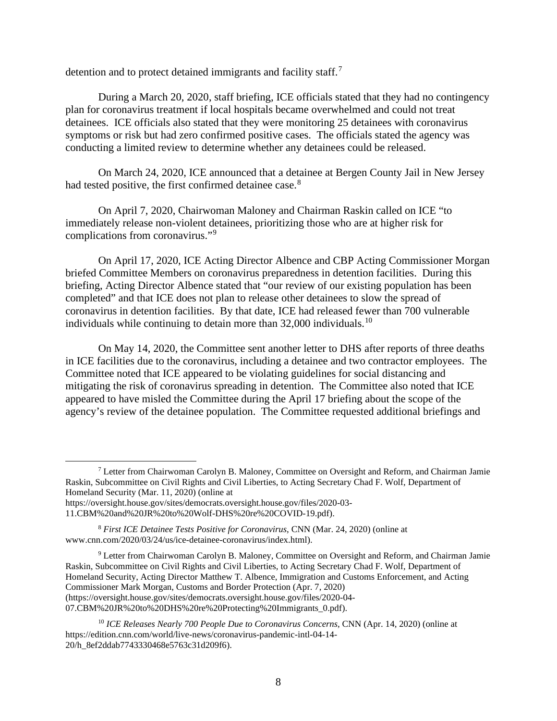detention and to protect detained immigrants and facility staff.<sup>[7](#page-8-0)</sup>

During a March 20, 2020, staff briefing, ICE officials stated that they had no contingency plan for coronavirus treatment if local hospitals became overwhelmed and could not treat detainees. ICE officials also stated that they were monitoring 25 detainees with coronavirus symptoms or risk but had zero confirmed positive cases. The officials stated the agency was conducting a limited review to determine whether any detainees could be released.

On March 24, 2020, ICE announced that a detainee at Bergen County Jail in New Jersey had tested positive, the first confirmed detainee case.<sup>[8](#page-8-1)</sup>

On April 7, 2020, Chairwoman Maloney and Chairman Raskin called on ICE "to immediately release non-violent detainees, prioritizing those who are at higher risk for complications from coronavirus."[9](#page-8-2)

On April 17, 2020, ICE Acting Director Albence and CBP Acting Commissioner Morgan briefed Committee Members on coronavirus preparedness in detention facilities. During this briefing, Acting Director Albence stated that "our review of our existing population has been completed" and that ICE does not plan to release other detainees to slow the spread of coronavirus in detention facilities. By that date, ICE had released fewer than 700 vulnerable individuals while continuing to detain more than  $32,000$  individuals.<sup>[10](#page-8-3)</sup>

On May 14, 2020, the Committee sent another letter to DHS after reports of three deaths in ICE facilities due to the coronavirus, including a detainee and two contractor employees. The Committee noted that ICE appeared to be violating guidelines for social distancing and mitigating the risk of coronavirus spreading in detention. The Committee also noted that ICE appeared to have misled the Committee during the April 17 briefing about the scope of the agency's review of the detainee population. The Committee requested additional briefings and

<span id="page-8-0"></span><sup>7</sup> Letter from Chairwoman Carolyn B. Maloney, Committee on Oversight and Reform, and Chairman Jamie Raskin, Subcommittee on Civil Rights and Civil Liberties, to Acting Secretary Chad F. Wolf, Department of Homeland Security (Mar. 11, 2020) (online at https://oversight.house.gov/sites/democrats.oversight.house.gov/files/2020-03-

<sup>11.</sup>CBM%20and%20JR%20to%20Wolf-DHS%20re%20COVID-19.pdf).

<span id="page-8-1"></span><sup>8</sup> *First ICE Detainee Tests Positive for Coronavirus*, CNN (Mar. 24, 2020) (online at www.cnn.com/2020/03/24/us/ice-detainee-coronavirus/index.html).

<span id="page-8-2"></span><sup>9</sup> Letter from Chairwoman Carolyn B. Maloney, Committee on Oversight and Reform, and Chairman Jamie Raskin, Subcommittee on Civil Rights and Civil Liberties, to Acting Secretary Chad F. Wolf, Department of Homeland Security, Acting Director Matthew T. Albence, Immigration and Customs Enforcement, and Acting Commissioner Mark Morgan, Customs and Border Protection (Apr. 7, 2020) (https://oversight.house.gov/sites/democrats.oversight.house.gov/files/2020-04- 07.CBM%20JR%20to%20DHS%20re%20Protecting%20Immigrants\_0.pdf).

<span id="page-8-3"></span><sup>10</sup> *ICE Releases Nearly 700 People Due to Coronavirus Concerns*, CNN (Apr. 14, 2020) (online at https://edition.cnn.com/world/live-news/coronavirus-pandemic-intl-04-14- 20/h\_8ef2ddab7743330468e5763c31d209f6).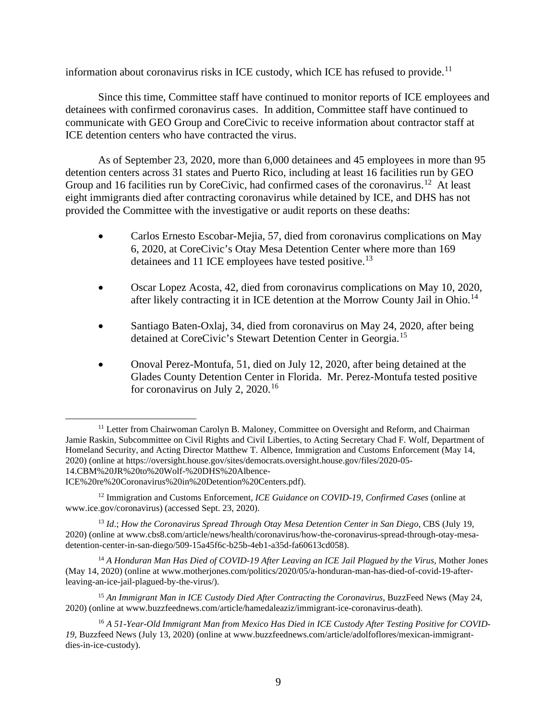information about coronavirus risks in ICE custody, which ICE has refused to provide.<sup>[11](#page-9-0)</sup>

Since this time, Committee staff have continued to monitor reports of ICE employees and detainees with confirmed coronavirus cases. In addition, Committee staff have continued to communicate with GEO Group and CoreCivic to receive information about contractor staff at ICE detention centers who have contracted the virus.

As of September 23, 2020, more than 6,000 detainees and 45 employees in more than 95 detention centers across 31 states and Puerto Rico, including at least 16 facilities run by GEO Group and 16 facilities run by CoreCivic, had confirmed cases of the coronavirus.<sup>12</sup> At least eight immigrants died after contracting coronavirus while detained by ICE, and DHS has not provided the Committee with the investigative or audit reports on these deaths:

- Carlos Ernesto Escobar-Mejia, 57, died from coronavirus complications on May 6, 2020, at CoreCivic's Otay Mesa Detention Center where more than 169 detainees and 11 ICE employees have tested positive.<sup>13</sup>
- Oscar Lopez Acosta, 42, died from coronavirus complications on May 10, 2020, after likely contracting it in ICE detention at the Morrow County Jail in Ohio.<sup>14</sup>
- Santiago Baten-Oxlaj, 34, died from coronavirus on May 24, 2020, after being detained at CoreCivic's Stewart Detention Center in Georgia.[15](#page-9-4)
- Onoval Perez-Montufa, 51, died on July 12, 2020, after being detained at the Glades County Detention Center in Florida. Mr. Perez-Montufa tested positive for coronavirus on July 2,  $2020$ .<sup>[16](#page-9-5)</sup>

<span id="page-9-0"></span><sup>&</sup>lt;sup>11</sup> Letter from Chairwoman Carolyn B. Maloney, Committee on Oversight and Reform, and Chairman Jamie Raskin, Subcommittee on Civil Rights and Civil Liberties, to Acting Secretary Chad F. Wolf, Department of Homeland Security, and Acting Director Matthew T. Albence, Immigration and Customs Enforcement (May 14, 2020) (online at https://oversight.house.gov/sites/democrats.oversight.house.gov/files/2020-05- 14.CBM%20JR%20to%20Wolf-%20DHS%20Albence-ICE%20re%20Coronavirus%20in%20Detention%20Centers.pdf).

<span id="page-9-1"></span><sup>12</sup> Immigration and Customs Enforcement, *ICE Guidance on COVID-19, Confirmed Cases* (online at www.ice.gov/coronavirus) (accessed Sept. 23, 2020).

<span id="page-9-2"></span><sup>13</sup> *Id*.; *How the Coronavirus Spread Through Otay Mesa Detention Center in San Diego*, CBS (July 19, 2020) (online at www.cbs8.com/article/news/health/coronavirus/how-the-coronavirus-spread-through-otay-mesadetention-center-in-san-diego/509-15a45f6c-b25b-4eb1-a35d-fa60613cd058).

<span id="page-9-3"></span><sup>&</sup>lt;sup>14</sup> A Honduran Man Has Died of COVID-19 After Leaving an ICE Jail Plagued by the Virus, Mother Jones (May 14, 2020) (online at www.motherjones.com/politics/2020/05/a-honduran-man-has-died-of-covid-19-afterleaving-an-ice-jail-plagued-by-the-virus/).

<span id="page-9-4"></span><sup>&</sup>lt;sup>15</sup> An Immigrant Man in ICE Custody Died After Contracting the Coronavirus, BuzzFeed News (May 24, 2020) (online at www.buzzfeednews.com/article/hamedaleaziz/immigrant-ice-coronavirus-death).

<span id="page-9-5"></span><sup>16</sup> *A 51-Year-Old Immigrant Man from Mexico Has Died in ICE Custody After Testing Positive for COVID-19*, Buzzfeed News (July 13, 2020) (online at www.buzzfeednews.com/article/adolfoflores/mexican-immigrantdies-in-ice-custody).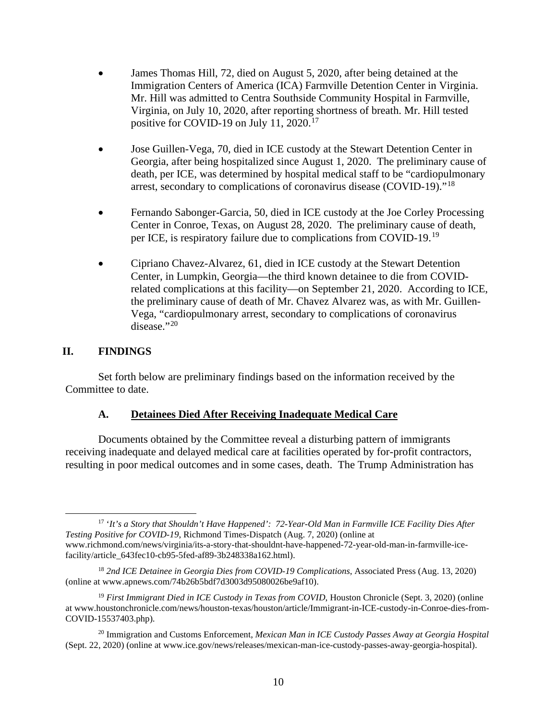- James Thomas Hill, 72, died on August 5, 2020, after being detained at the Immigration Centers of America (ICA) Farmville Detention Center in Virginia. Mr. Hill was admitted to Centra Southside Community Hospital in Farmville, Virginia, on July 10, 2020, after reporting shortness of breath. Mr. Hill tested positive for COVID-19 on July 11, 2020.<sup>[17](#page-10-2)</sup>
- Jose Guillen-Vega, 70, died in ICE custody at the Stewart Detention Center in Georgia, after being hospitalized since August 1, 2020. The preliminary cause of death, per ICE, was determined by hospital medical staff to be "cardiopulmonary arrest, secondary to complications of coronavirus disease (COVID-19)."<sup>[18](#page-10-3)</sup>
- Fernando Sabonger-Garcia, 50, died in ICE custody at the Joe Corley Processing Center in Conroe, Texas, on August 28, 2020. The preliminary cause of death, per ICE, is respiratory failure due to complications from COVID-19.[19](#page-10-4)
- Cipriano Chavez-Alvarez, 61, died in ICE custody at the Stewart Detention Center, in Lumpkin, Georgia—the third known detainee to die from COVIDrelated complications at this facility—on September 21, 2020. According to ICE, the preliminary cause of death of Mr. Chavez Alvarez was, as with Mr. Guillen-Vega, "cardiopulmonary arrest, secondary to complications of coronavirus disease."[20](#page-10-5)

## <span id="page-10-0"></span>**II. FINDINGS**

Set forth below are preliminary findings based on the information received by the Committee to date.

## **A. Detainees Died After Receiving Inadequate Medical Care**

<span id="page-10-1"></span>Documents obtained by the Committee reveal a disturbing pattern of immigrants receiving inadequate and delayed medical care at facilities operated by for-profit contractors, resulting in poor medical outcomes and in some cases, death. The Trump Administration has

<span id="page-10-2"></span><sup>17</sup> '*It's a Story that Shouldn't Have Happened': 72-Year-Old Man in Farmville ICE Facility Dies After Testing Positive for COVID-19*, Richmond Times-Dispatch (Aug. 7, 2020) (online at www.richmond.com/news/virginia/its-a-story-that-shouldnt-have-happened-72-year-old-man-in-farmville-icefacility/article\_643fec10-cb95-5fed-af89-3b248338a162.html).

<span id="page-10-3"></span><sup>18</sup> *2nd ICE Detainee in Georgia Dies from COVID-19 Complications*, Associated Press (Aug. 13, 2020) (online at www.apnews.com/74b26b5bdf7d3003d95080026be9af10).

<span id="page-10-4"></span><sup>&</sup>lt;sup>19</sup> First Immigrant Died in ICE Custody in Texas from COVID, Houston Chronicle (Sept. 3, 2020) (online at www.houstonchronicle.com/news/houston-texas/houston/article/Immigrant-in-ICE-custody-in-Conroe-dies-from-COVID-15537403.php).

<span id="page-10-5"></span><sup>20</sup> Immigration and Customs Enforcement, *Mexican Man in ICE Custody Passes Away at Georgia Hospital* (Sept. 22, 2020) (online at www.ice.gov/news/releases/mexican-man-ice-custody-passes-away-georgia-hospital).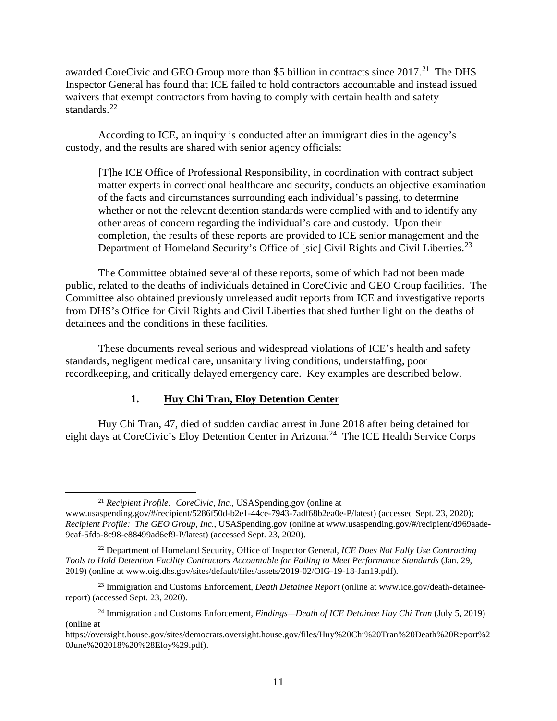awarded CoreCivic and GEO Group more than \$5 billion in contracts since 2017.<sup>[21](#page-11-1)</sup> The DHS Inspector General has found that ICE failed to hold contractors accountable and instead issued waivers that exempt contractors from having to comply with certain health and safety standards.<sup>[22](#page-11-2)</sup>

According to ICE, an inquiry is conducted after an immigrant dies in the agency's custody, and the results are shared with senior agency officials:

[T]he ICE Office of Professional Responsibility, in coordination with contract subject matter experts in correctional healthcare and security, conducts an objective examination of the facts and circumstances surrounding each individual's passing, to determine whether or not the relevant detention standards were complied with and to identify any other areas of concern regarding the individual's care and custody. Upon their completion, the results of these reports are provided to ICE senior management and the Department of Homeland Security's Office of [sic] Civil Rights and Civil Liberties.<sup>[23](#page-11-3)</sup>

The Committee obtained several of these reports, some of which had not been made public, related to the deaths of individuals detained in CoreCivic and GEO Group facilities. The Committee also obtained previously unreleased audit reports from ICE and investigative reports from DHS's Office for Civil Rights and Civil Liberties that shed further light on the deaths of detainees and the conditions in these facilities.

These documents reveal serious and widespread violations of ICE's health and safety standards, negligent medical care, unsanitary living conditions, understaffing, poor recordkeeping, and critically delayed emergency care. Key examples are described below.

## **1. Huy Chi Tran, Eloy Detention Center**

<span id="page-11-0"></span>Huy Chi Tran, 47, died of sudden cardiac arrest in June 2018 after being detained for eight days at CoreCivic's Eloy Detention Center in Arizona.<sup>[24](#page-11-4)</sup> The ICE Health Service Corps

<sup>21</sup> *Recipient Profile: CoreCivic, Inc.*, USASpending.gov (online at

<span id="page-11-1"></span>www.usaspending.gov/#/recipient/5286f50d-b2e1-44ce-7943-7adf68b2ea0e-P/latest) (accessed Sept. 23, 2020); *Recipient Profile: The GEO Group, Inc.*, USASpending.gov (online at www.usaspending.gov/#/recipient/d969aade-9caf-5fda-8c98-e88499ad6ef9-P/latest) (accessed Sept. 23, 2020).

<span id="page-11-2"></span><sup>22</sup> Department of Homeland Security, Office of Inspector General, *ICE Does Not Fully Use Contracting Tools to Hold Detention Facility Contractors Accountable for Failing to Meet Performance Standards* (Jan. 29, 2019) (online at www.oig.dhs.gov/sites/default/files/assets/2019-02/OIG-19-18-Jan19.pdf).

<span id="page-11-3"></span><sup>23</sup> Immigration and Customs Enforcement, *Death Detainee Report* (online at www.ice.gov/death-detaineereport) (accessed Sept. 23, 2020).

<span id="page-11-4"></span><sup>24</sup> Immigration and Customs Enforcement, *Findings—Death of ICE Detainee Huy Chi Tran* (July 5, 2019) (online at

https://oversight.house.gov/sites/democrats.oversight.house.gov/files/Huy%20Chi%20Tran%20Death%20Report%2 0June%202018%20%28Eloy%29.pdf).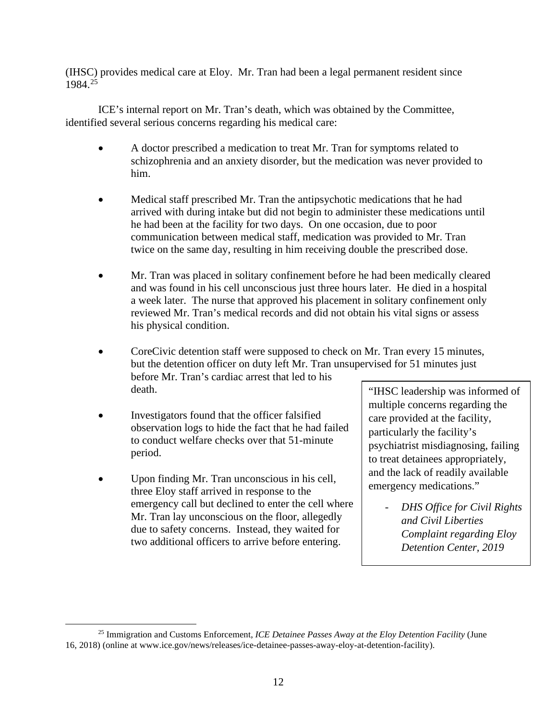(IHSC) provides medical care at Eloy. Mr. Tran had been a legal permanent resident since 1984.[25](#page-12-0)

ICE's internal report on Mr. Tran's death, which was obtained by the Committee, identified several serious concerns regarding his medical care:

- A doctor prescribed a medication to treat Mr. Tran for symptoms related to schizophrenia and an anxiety disorder, but the medication was never provided to him.
- Medical staff prescribed Mr. Tran the antipsychotic medications that he had arrived with during intake but did not begin to administer these medications until he had been at the facility for two days. On one occasion, due to poor communication between medical staff, medication was provided to Mr. Tran twice on the same day, resulting in him receiving double the prescribed dose.
- Mr. Tran was placed in solitary confinement before he had been medically cleared and was found in his cell unconscious just three hours later. He died in a hospital a week later. The nurse that approved his placement in solitary confinement only reviewed Mr. Tran's medical records and did not obtain his vital signs or assess his physical condition.
- CoreCivic detention staff were supposed to check on Mr. Tran every 15 minutes, but the detention officer on duty left Mr. Tran unsupervised for 51 minutes just before Mr. Tran's cardiac arrest that led to his death.
- Investigators found that the officer falsified observation logs to hide the fact that he had failed to conduct welfare checks over that 51-minute period.
- Upon finding Mr. Tran unconscious in his cell, three Eloy staff arrived in response to the emergency call but declined to enter the cell where Mr. Tran lay unconscious on the floor, allegedly due to safety concerns. Instead, they waited for two additional officers to arrive before entering.

"IHSC leadership was informed of multiple concerns regarding the care provided at the facility, particularly the facility's psychiatrist misdiagnosing, failing to treat detainees appropriately, and the lack of readily available emergency medications."

> - *DHS Office for Civil Rights and Civil Liberties Complaint regarding Eloy Detention Center, 2019*

<span id="page-12-0"></span><sup>25</sup> Immigration and Customs Enforcement, *ICE Detainee Passes Away at the Eloy Detention Facility* (June 16, 2018) (online at www.ice.gov/news/releases/ice-detainee-passes-away-eloy-at-detention-facility).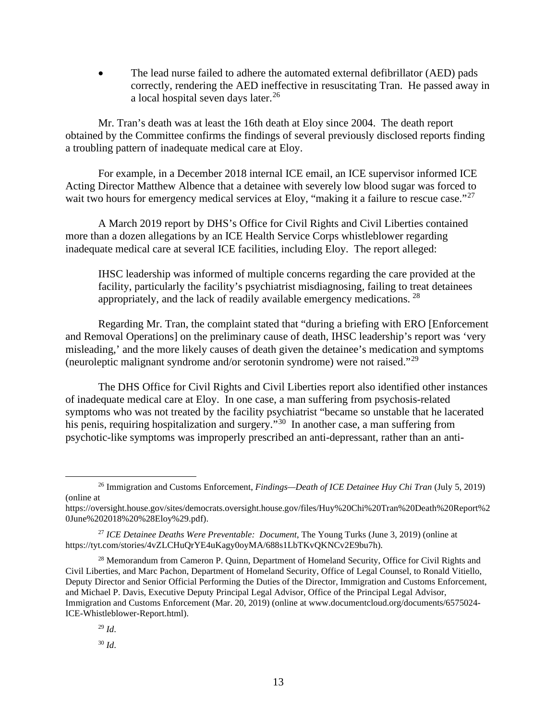• The lead nurse failed to adhere the automated external defibrillator (AED) pads correctly, rendering the AED ineffective in resuscitating Tran. He passed away in a local hospital seven days later.<sup>[26](#page-13-0)</sup>

Mr. Tran's death was at least the 16th death at Eloy since 2004. The death report obtained by the Committee confirms the findings of several previously disclosed reports finding a troubling pattern of inadequate medical care at Eloy.

For example, in a December 2018 internal ICE email, an ICE supervisor informed ICE Acting Director Matthew Albence that a detainee with severely low blood sugar was forced to wait two hours for emergency medical services at Eloy, "making it a failure to rescue case."<sup>[27](#page-13-1)</sup>

A March 2019 report by DHS's Office for Civil Rights and Civil Liberties contained more than a dozen allegations by an ICE Health Service Corps whistleblower regarding inadequate medical care at several ICE facilities, including Eloy. The report alleged:

IHSC leadership was informed of multiple concerns regarding the care provided at the facility, particularly the facility's psychiatrist misdiagnosing, failing to treat detainees appropriately, and the lack of readily available emergency medications.  $^{28}$  $^{28}$  $^{28}$ 

Regarding Mr. Tran, the complaint stated that "during a briefing with ERO [Enforcement and Removal Operations] on the preliminary cause of death, IHSC leadership's report was 'very misleading,' and the more likely causes of death given the detainee's medication and symptoms (neuroleptic malignant syndrome and/or serotonin syndrome) were not raised."[29](#page-13-3)

The DHS Office for Civil Rights and Civil Liberties report also identified other instances of inadequate medical care at Eloy. In one case, a man suffering from psychosis-related symptoms who was not treated by the facility psychiatrist "became so unstable that he lacerated his penis, requiring hospitalization and surgery."<sup>[30](#page-13-4)</sup> In another case, a man suffering from psychotic-like symptoms was improperly prescribed an anti-depressant, rather than an anti-

<span id="page-13-3"></span><span id="page-13-2"></span><sup>28</sup> Memorandum from Cameron P. Quinn, Department of Homeland Security, Office for Civil Rights and Civil Liberties, and Marc Pachon, Department of Homeland Security, Office of Legal Counsel, to Ronald Vitiello, Deputy Director and Senior Official Performing the Duties of the Director, Immigration and Customs Enforcement, and Michael P. Davis, Executive Deputy Principal Legal Advisor, Office of the Principal Legal Advisor, Immigration and Customs Enforcement (Mar. 20, 2019) (online at www.documentcloud.org/documents/6575024- ICE-Whistleblower-Report.html).

<span id="page-13-0"></span><sup>26</sup> Immigration and Customs Enforcement, *Findings—Death of ICE Detainee Huy Chi Tran* (July 5, 2019) (online at

https://oversight.house.gov/sites/democrats.oversight.house.gov/files/Huy%20Chi%20Tran%20Death%20Report%2 0June%202018%20%28Eloy%29.pdf).

<span id="page-13-1"></span><sup>27</sup> *ICE Detainee Deaths Were Preventable: Document*, The Young Turks (June 3, 2019) (online at https://tyt.com/stories/4vZLCHuQrYE4uKagy0oyMA/688s1LbTKvQKNCv2E9bu7h).

<span id="page-13-4"></span><sup>29</sup> *Id*.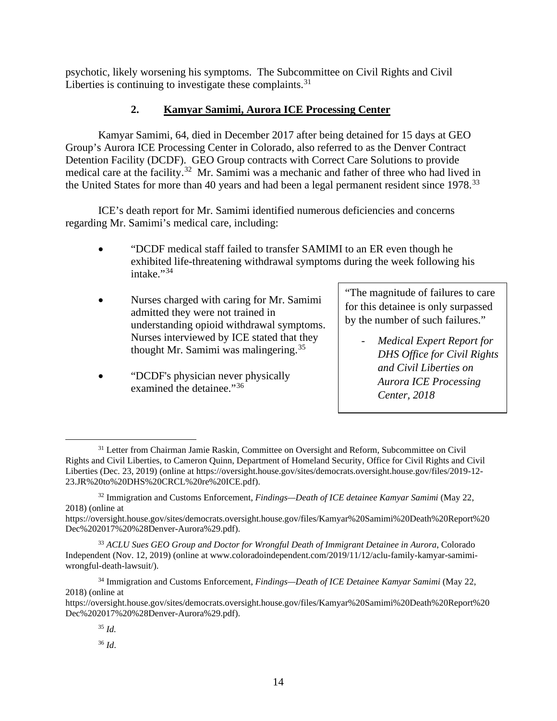psychotic, likely worsening his symptoms. The Subcommittee on Civil Rights and Civil Liberties is continuing to investigate these complaints. $31$ 

## **2. Kamyar Samimi, Aurora ICE Processing Center**

<span id="page-14-0"></span>Kamyar Samimi, 64, died in December 2017 after being detained for 15 days at GEO Group's Aurora ICE Processing Center in Colorado, also referred to as the Denver Contract Detention Facility (DCDF). GEO Group contracts with Correct Care Solutions to provide medical care at the facility.<sup>32</sup> Mr. Samimi was a mechanic and father of three who had lived in the United States for more than 40 years and had been a legal permanent resident since 1978.<sup>33</sup>

ICE's death report for Mr. Samimi identified numerous deficiencies and concerns regarding Mr. Samimi's medical care, including:

- "DCDF medical staff failed to transfer SAMIMI to an ER even though he exhibited life-threatening withdrawal symptoms during the week following his  $intake. "34"$  $intake. "34"$  $intake. "34"$
- Nurses charged with caring for Mr. Samimi admitted they were not trained in understanding opioid withdrawal symptoms. Nurses interviewed by ICE stated that they thought Mr. Samimi was malingering.<sup>[35](#page-14-5)</sup>
- "DCDF's physician never physically examined the detainee."<sup>[36](#page-14-6)</sup>

"The magnitude of failures to care for this detainee is only surpassed by the number of such failures."

- *Medical Expert Report for DHS Office for Civil Rights and Civil Liberties on Aurora ICE Processing Center, 2018*

<span id="page-14-1"></span><sup>&</sup>lt;sup>31</sup> Letter from Chairman Jamie Raskin, Committee on Oversight and Reform, Subcommittee on Civil Rights and Civil Liberties, to Cameron Quinn, Department of Homeland Security, Office for Civil Rights and Civil Liberties (Dec. 23, 2019) (online at https://oversight.house.gov/sites/democrats.oversight.house.gov/files/2019-12- 23.JR%20to%20DHS%20CRCL%20re%20ICE.pdf).

<span id="page-14-2"></span><sup>32</sup> Immigration and Customs Enforcement, *Findings—Death of ICE detainee Kamyar Samimi* (May 22, 2018) (online at

https://oversight.house.gov/sites/democrats.oversight.house.gov/files/Kamyar%20Samimi%20Death%20Report%20 Dec%202017%20%28Denver-Aurora%29.pdf).

<span id="page-14-3"></span><sup>33</sup> *ACLU Sues GEO Group and Doctor for Wrongful Death of Immigrant Detainee in Aurora*, Colorado Independent (Nov. 12, 2019) (online at www.coloradoindependent.com/2019/11/12/aclu-family-kamyar-samimiwrongful-death-lawsuit/).

<span id="page-14-4"></span><sup>34</sup> Immigration and Customs Enforcement, *Findings—Death of ICE Detainee Kamyar Samimi* (May 22, 2018) (online at

<span id="page-14-6"></span><span id="page-14-5"></span>https://oversight.house.gov/sites/democrats.oversight.house.gov/files/Kamyar%20Samimi%20Death%20Report%20 Dec%202017%20%28Denver-Aurora%29.pdf).

<sup>35</sup> *Id.*

<sup>36</sup> *Id*.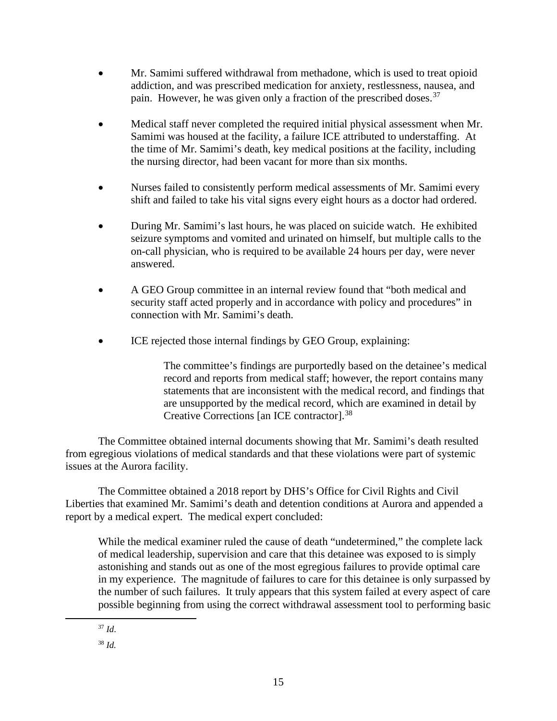- Mr. Samimi suffered withdrawal from methadone, which is used to treat opioid addiction, and was prescribed medication for anxiety, restlessness, nausea, and pain. However, he was given only a fraction of the prescribed doses.<sup>[37](#page-15-0)</sup>
- Medical staff never completed the required initial physical assessment when Mr. Samimi was housed at the facility, a failure ICE attributed to understaffing. At the time of Mr. Samimi's death, key medical positions at the facility, including the nursing director, had been vacant for more than six months.
- Nurses failed to consistently perform medical assessments of Mr. Samimi every shift and failed to take his vital signs every eight hours as a doctor had ordered.
- During Mr. Samimi's last hours, he was placed on suicide watch. He exhibited seizure symptoms and vomited and urinated on himself, but multiple calls to the on-call physician, who is required to be available 24 hours per day, were never answered.
- A GEO Group committee in an internal review found that "both medical and security staff acted properly and in accordance with policy and procedures" in connection with Mr. Samimi's death.
- ICE rejected those internal findings by GEO Group, explaining:

The committee's findings are purportedly based on the detainee's medical record and reports from medical staff; however, the report contains many statements that are inconsistent with the medical record, and findings that are unsupported by the medical record, which are examined in detail by Creative Corrections [an ICE contractor].[38](#page-15-1)

The Committee obtained internal documents showing that Mr. Samimi's death resulted from egregious violations of medical standards and that these violations were part of systemic issues at the Aurora facility.

The Committee obtained a 2018 report by DHS's Office for Civil Rights and Civil Liberties that examined Mr. Samimi's death and detention conditions at Aurora and appended a report by a medical expert. The medical expert concluded:

While the medical examiner ruled the cause of death "undetermined," the complete lack of medical leadership, supervision and care that this detainee was exposed to is simply astonishing and stands out as one of the most egregious failures to provide optimal care in my experience. The magnitude of failures to care for this detainee is only surpassed by the number of such failures. It truly appears that this system failed at every aspect of care possible beginning from using the correct withdrawal assessment tool to performing basic

<span id="page-15-0"></span><sup>37</sup> *Id*.

<span id="page-15-1"></span><sup>38</sup> *Id.*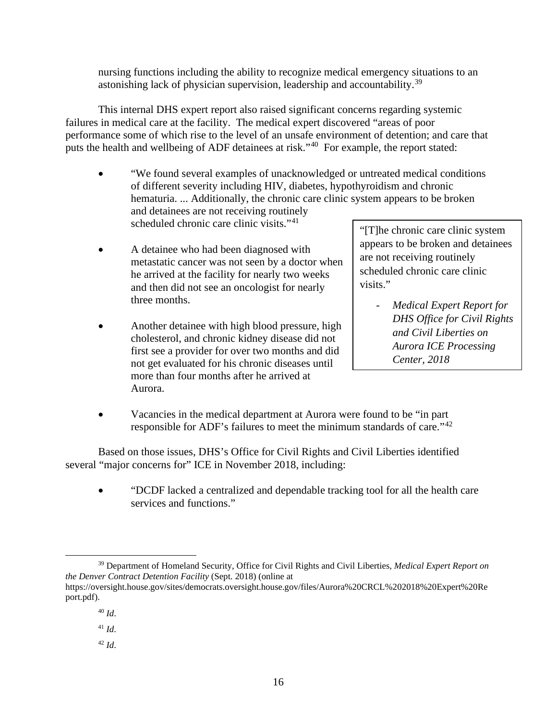nursing functions including the ability to recognize medical emergency situations to an astonishing lack of physician supervision, leadership and accountability.<sup>[39](#page-16-0)</sup>

This internal DHS expert report also raised significant concerns regarding systemic failures in medical care at the facility. The medical expert discovered "areas of poor performance some of which rise to the level of an unsafe environment of detention; and care that puts the health and wellbeing of ADF detainees at risk."<sup>[40](#page-16-1)</sup> For example, the report stated:

- "We found several examples of unacknowledged or untreated medical conditions of different severity including HIV, diabetes, hypothyroidism and chronic hematuria. ... Additionally, the chronic care clinic system appears to be broken and detainees are not receiving routinely scheduled chronic care clinic visits."<sup>[41](#page-16-2)</sup>
- A detainee who had been diagnosed with metastatic cancer was not seen by a doctor when he arrived at the facility for nearly two weeks and then did not see an oncologist for nearly three months.
- Another detainee with high blood pressure, high cholesterol, and chronic kidney disease did not first see a provider for over two months and did not get evaluated for his chronic diseases until more than four months after he arrived at Aurora.

"[T]he chronic care clinic system appears to be broken and detainees are not receiving routinely scheduled chronic care clinic visits."

- *Medical Expert Report for DHS Office for Civil Rights and Civil Liberties on Aurora ICE Processing Center, 2018*
- Vacancies in the medical department at Aurora were found to be "in part" responsible for ADF's failures to meet the minimum standards of care."[42](#page-16-3)

Based on those issues, DHS's Office for Civil Rights and Civil Liberties identified several "major concerns for" ICE in November 2018, including:

• "DCDF lacked a centralized and dependable tracking tool for all the health care services and functions."

<span id="page-16-0"></span><sup>39</sup> Department of Homeland Security, Office for Civil Rights and Civil Liberties, *Medical Expert Report on the Denver Contract Detention Facility* (Sept. 2018) (online at https://oversight.house.gov/sites/democrats.oversight.house.gov/files/Aurora%20CRCL%202018%20Expert%20Re

<span id="page-16-3"></span><span id="page-16-2"></span><span id="page-16-1"></span>port.pdf).

<sup>40</sup> *Id*.

<sup>41</sup> *Id*.

<sup>42</sup> *Id*.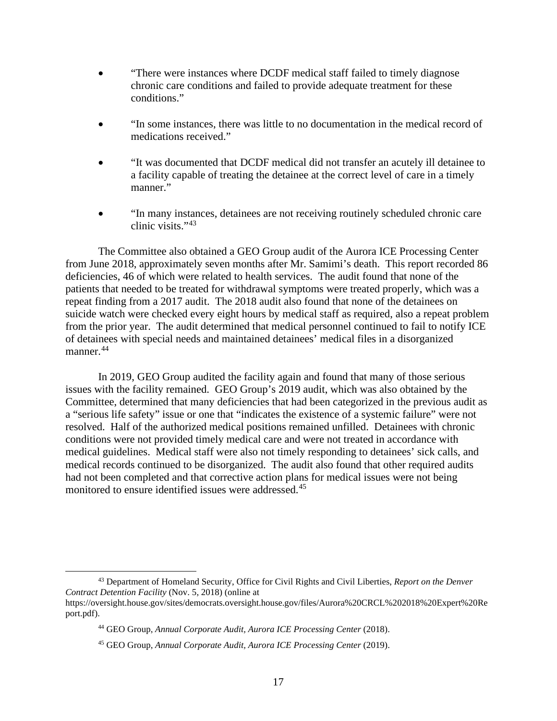- "There were instances where DCDF medical staff failed to timely diagnose chronic care conditions and failed to provide adequate treatment for these conditions."
- "In some instances, there was little to no documentation in the medical record of medications received."
- "It was documented that DCDF medical did not transfer an acutely ill detainee to a facility capable of treating the detainee at the correct level of care in a timely manner."
- "In many instances, detainees are not receiving routinely scheduled chronic care clinic visits."<sup>[43](#page-17-0)</sup>

The Committee also obtained a GEO Group audit of the Aurora ICE Processing Center from June 2018, approximately seven months after Mr. Samimi's death. This report recorded 86 deficiencies, 46 of which were related to health services. The audit found that none of the patients that needed to be treated for withdrawal symptoms were treated properly, which was a repeat finding from a 2017 audit. The 2018 audit also found that none of the detainees on suicide watch were checked every eight hours by medical staff as required, also a repeat problem from the prior year. The audit determined that medical personnel continued to fail to notify ICE of detainees with special needs and maintained detainees' medical files in a disorganized manner.<sup>[44](#page-17-1)</sup>

In 2019, GEO Group audited the facility again and found that many of those serious issues with the facility remained. GEO Group's 2019 audit, which was also obtained by the Committee, determined that many deficiencies that had been categorized in the previous audit as a "serious life safety" issue or one that "indicates the existence of a systemic failure" were not resolved. Half of the authorized medical positions remained unfilled. Detainees with chronic conditions were not provided timely medical care and were not treated in accordance with medical guidelines. Medical staff were also not timely responding to detainees' sick calls, and medical records continued to be disorganized. The audit also found that other required audits had not been completed and that corrective action plans for medical issues were not being monitored to ensure identified issues were addressed.[45](#page-17-2)

<span id="page-17-2"></span><span id="page-17-1"></span><span id="page-17-0"></span><sup>43</sup> Department of Homeland Security, Office for Civil Rights and Civil Liberties, *Report on the Denver Contract Detention Facility* (Nov. 5, 2018) (online at https://oversight.house.gov/sites/democrats.oversight.house.gov/files/Aurora%20CRCL%202018%20Expert%20Re port.pdf).

<sup>44</sup> GEO Group, *Annual Corporate Audit, Aurora ICE Processing Center* (2018).

<sup>45</sup> GEO Group, *Annual Corporate Audit, Aurora ICE Processing Center* (2019).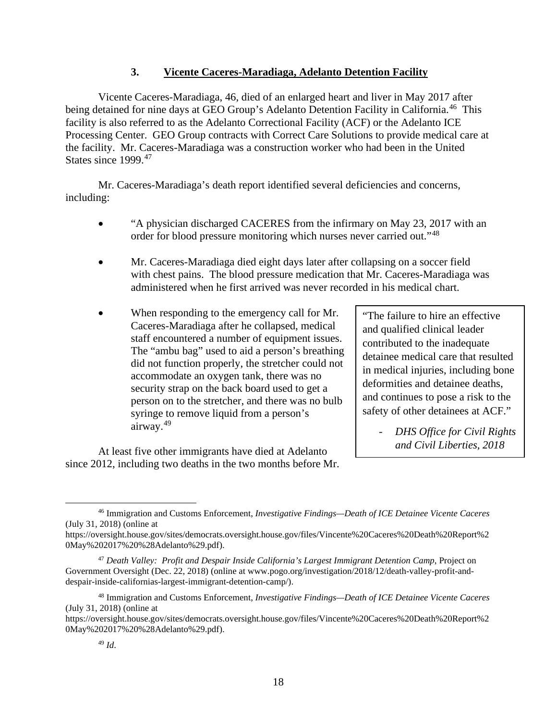#### **3. Vicente Caceres-Maradiaga, Adelanto Detention Facility**

<span id="page-18-0"></span>Vicente Caceres-Maradiaga, 46, died of an enlarged heart and liver in May 2017 after being detained for nine days at GEO Group's Adelanto Detention Facility in California.<sup>[46](#page-18-1)</sup> This facility is also referred to as the Adelanto Correctional Facility (ACF) or the Adelanto ICE Processing Center. GEO Group contracts with Correct Care Solutions to provide medical care at the facility. Mr. Caceres-Maradiaga was a construction worker who had been in the United States since 1999.<sup>[47](#page-18-2)</sup>

Mr. Caceres-Maradiaga's death report identified several deficiencies and concerns, including:

- "A physician discharged CACERES from the infirmary on May 23, 2017 with an order for blood pressure monitoring which nurses never carried out."[48](#page-18-3)
- Mr. Caceres-Maradiaga died eight days later after collapsing on a soccer field with chest pains. The blood pressure medication that Mr. Caceres-Maradiaga was administered when he first arrived was never recorded in his medical chart.
- When responding to the emergency call for Mr. Caceres-Maradiaga after he collapsed, medical staff encountered a number of equipment issues. The "ambu bag" used to aid a person's breathing did not function properly, the stretcher could not accommodate an oxygen tank, there was no security strap on the back board used to get a person on to the stretcher, and there was no bulb syringe to remove liquid from a person's airway.[49](#page-18-4)

At least five other immigrants have died at Adelanto since 2012, including two deaths in the two months before Mr.

"The failure to hire an effective and qualified clinical leader contributed to the inadequate detainee medical care that resulted in medical injuries, including bone deformities and detainee deaths, and continues to pose a risk to the safety of other detainees at ACF."

> - *DHS Office for Civil Rights and Civil Liberties, 2018*

<span id="page-18-1"></span><sup>46</sup> Immigration and Customs Enforcement, *Investigative Findings—Death of ICE Detainee Vicente Caceres* (July 31, 2018) (online at

https://oversight.house.gov/sites/democrats.oversight.house.gov/files/Vincente%20Caceres%20Death%20Report%2 0May%202017%20%28Adelanto%29.pdf).

<span id="page-18-2"></span><sup>47</sup> *Death Valley: Profit and Despair Inside California's Largest Immigrant Detention Camp*, Project on Government Oversight (Dec. 22, 2018) (online at www.pogo.org/investigation/2018/12/death-valley-profit-anddespair-inside-californias-largest-immigrant-detention-camp/).

<span id="page-18-3"></span><sup>48</sup> Immigration and Customs Enforcement, *Investigative Findings—Death of ICE Detainee Vicente Caceres* (July 31, 2018) (online at

<span id="page-18-4"></span>https://oversight.house.gov/sites/democrats.oversight.house.gov/files/Vincente%20Caceres%20Death%20Report%2 0May%202017%20%28Adelanto%29.pdf).

<sup>49</sup> *Id*.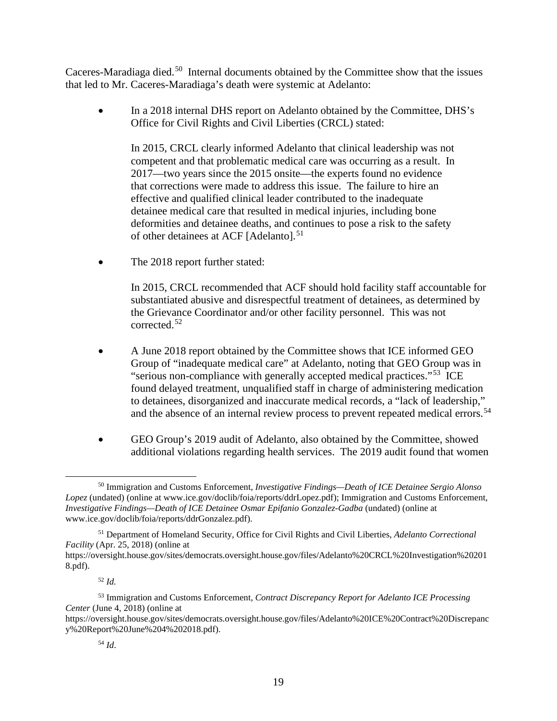Caceres-Maradiaga died.<sup>50</sup> Internal documents obtained by the Committee show that the issues that led to Mr. Caceres-Maradiaga's death were systemic at Adelanto:

• In a 2018 internal DHS report on Adelanto obtained by the Committee, DHS's Office for Civil Rights and Civil Liberties (CRCL) stated:

In 2015, CRCL clearly informed Adelanto that clinical leadership was not competent and that problematic medical care was occurring as a result. In 2017—two years since the 2015 onsite—the experts found no evidence that corrections were made to address this issue. The failure to hire an effective and qualified clinical leader contributed to the inadequate detainee medical care that resulted in medical injuries, including bone deformities and detainee deaths, and continues to pose a risk to the safety of other detainees at ACF [Adelanto].<sup>[51](#page-19-1)</sup>

The 2018 report further stated:

In 2015, CRCL recommended that ACF should hold facility staff accountable for substantiated abusive and disrespectful treatment of detainees, as determined by the Grievance Coordinator and/or other facility personnel. This was not corrected.[52](#page-19-2)

- A June 2018 report obtained by the Committee shows that ICE informed GEO Group of "inadequate medical care" at Adelanto, noting that GEO Group was in "serious non-compliance with generally accepted medical practices."<sup>[53](#page-19-3)</sup> ICE found delayed treatment, unqualified staff in charge of administering medication to detainees, disorganized and inaccurate medical records, a "lack of leadership," and the absence of an internal review process to prevent repeated medical errors.<sup>[54](#page-19-4)</sup>
- GEO Group's 2019 audit of Adelanto, also obtained by the Committee, showed additional violations regarding health services. The 2019 audit found that women

<sup>52</sup> *Id.*

<span id="page-19-0"></span><sup>50</sup> Immigration and Customs Enforcement, *Investigative Findings—Death of ICE Detainee Sergio Alonso Lopez* (undated) (online at www.ice.gov/doclib/foia/reports/ddrLopez.pdf); Immigration and Customs Enforcement, *Investigative Findings—Death of ICE Detainee Osmar Epifanio Gonzalez-Gadba* (undated) (online at www.ice.gov/doclib/foia/reports/ddrGonzalez.pdf).

<span id="page-19-1"></span><sup>51</sup> Department of Homeland Security, Office for Civil Rights and Civil Liberties, *Adelanto Correctional Facility* (Apr. 25, 2018) (online at

https://oversight.house.gov/sites/democrats.oversight.house.gov/files/Adelanto%20CRCL%20Investigation%20201 8.pdf).

<span id="page-19-3"></span><span id="page-19-2"></span><sup>53</sup> Immigration and Customs Enforcement, *Contract Discrepancy Report for Adelanto ICE Processing Center* (June 4, 2018) (online at

<span id="page-19-4"></span>https://oversight.house.gov/sites/democrats.oversight.house.gov/files/Adelanto%20ICE%20Contract%20Discrepanc y%20Report%20June%204%202018.pdf).

<sup>54</sup> *Id*.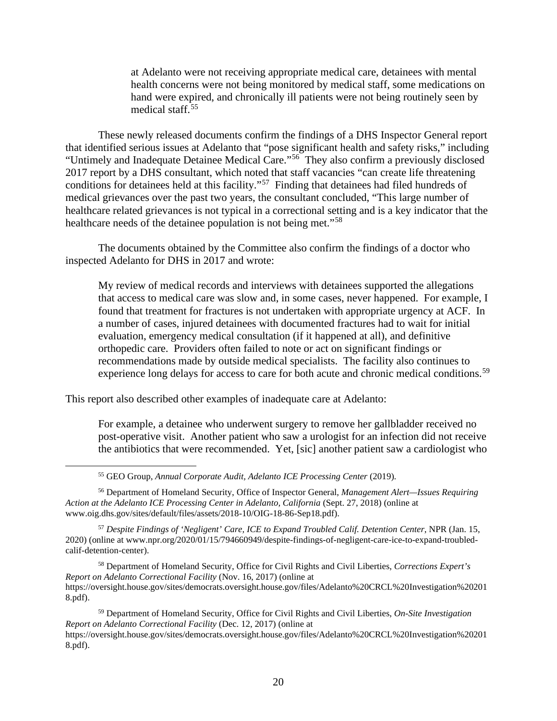at Adelanto were not receiving appropriate medical care, detainees with mental health concerns were not being monitored by medical staff, some medications on hand were expired, and chronically ill patients were not being routinely seen by medical staff. [55](#page-20-0)

These newly released documents confirm the findings of a DHS Inspector General report that identified serious issues at Adelanto that "pose significant health and safety risks," including "Untimely and Inadequate Detainee Medical Care."<sup>[56](#page-20-1)</sup> They also confirm a previously disclosed 2017 report by a DHS consultant, which noted that staff vacancies "can create life threatening conditions for detainees held at this facility."[57](#page-20-2) Finding that detainees had filed hundreds of medical grievances over the past two years, the consultant concluded, "This large number of healthcare related grievances is not typical in a correctional setting and is a key indicator that the healthcare needs of the detainee population is not being met."<sup>[58](#page-20-3)</sup>

The documents obtained by the Committee also confirm the findings of a doctor who inspected Adelanto for DHS in 2017 and wrote:

My review of medical records and interviews with detainees supported the allegations that access to medical care was slow and, in some cases, never happened. For example, I found that treatment for fractures is not undertaken with appropriate urgency at ACF. In a number of cases, injured detainees with documented fractures had to wait for initial evaluation, emergency medical consultation (if it happened at all), and definitive orthopedic care. Providers often failed to note or act on significant findings or recommendations made by outside medical specialists. The facility also continues to experience long delays for access to care for both acute and chronic medical conditions.<sup>[59](#page-20-4)</sup>

This report also described other examples of inadequate care at Adelanto:

For example, a detainee who underwent surgery to remove her gallbladder received no post-operative visit. Another patient who saw a urologist for an infection did not receive the antibiotics that were recommended. Yet, [sic] another patient saw a cardiologist who

<span id="page-20-2"></span><sup>57</sup> *Despite Findings of 'Negligent' Care, ICE to Expand Troubled Calif. Detention Center*, NPR (Jan. 15, 2020) (online at www.npr.org/2020/01/15/794660949/despite-findings-of-negligent-care-ice-to-expand-troubledcalif-detention-center).

<span id="page-20-3"></span><sup>58</sup> Department of Homeland Security, Office for Civil Rights and Civil Liberties, *Corrections Expert's Report on Adelanto Correctional Facility* (Nov. 16, 2017) (online at https://oversight.house.gov/sites/democrats.oversight.house.gov/files/Adelanto%20CRCL%20Investigation%20201 8.pdf).

<span id="page-20-4"></span><sup>59</sup> Department of Homeland Security, Office for Civil Rights and Civil Liberties, *On-Site Investigation Report on Adelanto Correctional Facility* (Dec. 12, 2017) (online at https://oversight.house.gov/sites/democrats.oversight.house.gov/files/Adelanto%20CRCL%20Investigation%20201

8.pdf).

<sup>55</sup> GEO Group, *Annual Corporate Audit, Adelanto ICE Processing Center* (2019).

<span id="page-20-1"></span><span id="page-20-0"></span><sup>56</sup> Department of Homeland Security, Office of Inspector General, *Management Alert—Issues Requiring Action at the Adelanto ICE Processing Center in Adelanto, California* (Sept. 27, 2018) (online at www.oig.dhs.gov/sites/default/files/assets/2018-10/OIG-18-86-Sep18.pdf).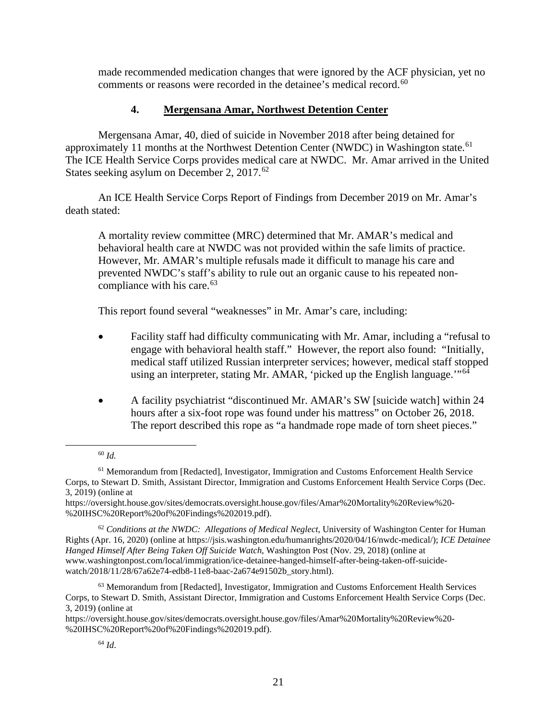made recommended medication changes that were ignored by the ACF physician, yet no comments or reasons were recorded in the detainee's medical record.<sup>60</sup>

## **4. Mergensana Amar, Northwest Detention Center**

<span id="page-21-0"></span>Mergensana Amar, 40, died of suicide in November 2018 after being detained for approximately 11 months at the Northwest Detention Center (NWDC) in Washington state.<sup>61</sup> The ICE Health Service Corps provides medical care at NWDC. Mr. Amar arrived in the United States seeking asylum on December 2, 2017.<sup>[62](#page-21-3)</sup>

An ICE Health Service Corps Report of Findings from December 2019 on Mr. Amar's death stated:

A mortality review committee (MRC) determined that Mr. AMAR's medical and behavioral health care at NWDC was not provided within the safe limits of practice. However, Mr. AMAR's multiple refusals made it difficult to manage his care and prevented NWDC's staff's ability to rule out an organic cause to his repeated non-compliance with his care.<sup>[63](#page-21-4)</sup>

This report found several "weaknesses" in Mr. Amar's care, including:

- Facility staff had difficulty communicating with Mr. Amar, including a "refusal to engage with behavioral health staff." However, the report also found: "Initially, medical staff utilized Russian interpreter services; however, medical staff stopped using an interpreter, stating Mr. AMAR, 'picked up the English language.'"<sup>[64](#page-21-5)</sup>
- A facility psychiatrist "discontinued Mr. AMAR's SW [suicide watch] within 24 hours after a six-foot rope was found under his mattress" on October 26, 2018. The report described this rope as "a handmade rope made of torn sheet pieces."

<sup>60</sup> *Id.*

<span id="page-21-2"></span><span id="page-21-1"></span><sup>61</sup> Memorandum from [Redacted], Investigator, Immigration and Customs Enforcement Health Service Corps, to Stewart D. Smith, Assistant Director, Immigration and Customs Enforcement Health Service Corps (Dec. 3, 2019) (online at

https://oversight.house.gov/sites/democrats.oversight.house.gov/files/Amar%20Mortality%20Review%20- %20IHSC%20Report%20of%20Findings%202019.pdf).

<span id="page-21-3"></span><sup>62</sup> *Conditions at the NWDC: Allegations of Medical Neglect*, University of Washington Center for Human Rights (Apr. 16, 2020) (online at https://jsis.washington.edu/humanrights/2020/04/16/nwdc-medical/); *ICE Detainee Hanged Himself After Being Taken Off Suicide Watch*, Washington Post (Nov. 29, 2018) (online at www.washingtonpost.com/local/immigration/ice-detainee-hanged-himself-after-being-taken-off-suicidewatch/2018/11/28/67a62e74-edb8-11e8-baac-2a674e91502b\_story.html).

<span id="page-21-4"></span> $63$  Memorandum from [Redacted], Investigator, Immigration and Customs Enforcement Health Services Corps, to Stewart D. Smith, Assistant Director, Immigration and Customs Enforcement Health Service Corps (Dec. 3, 2019) (online at

<span id="page-21-5"></span>https://oversight.house.gov/sites/democrats.oversight.house.gov/files/Amar%20Mortality%20Review%20- %20IHSC%20Report%20of%20Findings%202019.pdf).

<sup>64</sup> *Id*.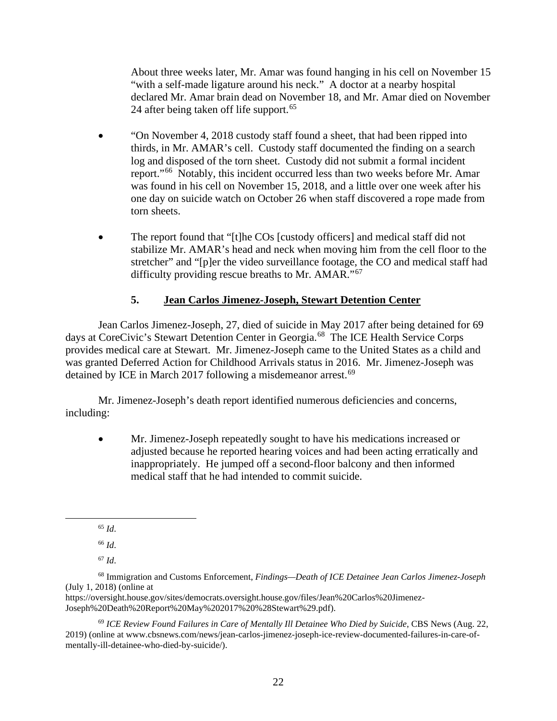About three weeks later, Mr. Amar was found hanging in his cell on November 15 "with a self-made ligature around his neck." A doctor at a nearby hospital declared Mr. Amar brain dead on November 18, and Mr. Amar died on November 24 after being taken off life support.<sup>[65](#page-22-1)</sup>

- "On November 4, 2018 custody staff found a sheet, that had been ripped into thirds, in Mr. AMAR's cell. Custody staff documented the finding on a search log and disposed of the torn sheet. Custody did not submit a formal incident report."[66](#page-22-2) Notably, this incident occurred less than two weeks before Mr. Amar was found in his cell on November 15, 2018, and a little over one week after his one day on suicide watch on October 26 when staff discovered a rope made from torn sheets.
- The report found that "[t]he COs [custody officers] and medical staff did not stabilize Mr. AMAR's head and neck when moving him from the cell floor to the stretcher" and "[p]er the video surveillance footage, the CO and medical staff had difficulty providing rescue breaths to Mr. AMAR."<sup>[67](#page-22-3)</sup>

## **5. Jean Carlos Jimenez-Joseph, Stewart Detention Center**

<span id="page-22-0"></span>Jean Carlos Jimenez-Joseph, 27, died of suicide in May 2017 after being detained for 69 days at CoreCivic's Stewart Detention Center in Georgia.<sup>[68](#page-22-4)</sup> The ICE Health Service Corps provides medical care at Stewart. Mr. Jimenez-Joseph came to the United States as a child and was granted Deferred Action for Childhood Arrivals status in 2016. Mr. Jimenez-Joseph was detained by ICE in March 2017 following a misdemeanor arrest.<sup>[69](#page-22-5)</sup>

Mr. Jimenez-Joseph's death report identified numerous deficiencies and concerns, including:

• Mr. Jimenez-Joseph repeatedly sought to have his medications increased or adjusted because he reported hearing voices and had been acting erratically and inappropriately. He jumped off a second-floor balcony and then informed medical staff that he had intended to commit suicide.

<sup>66</sup> *Id*.

<sup>67</sup> *Id*.

https://oversight.house.gov/sites/democrats.oversight.house.gov/files/Jean%20Carlos%20Jimenez-Joseph%20Death%20Report%20May%202017%20%28Stewart%29.pdf).

<span id="page-22-5"></span><sup>69</sup> *ICE Review Found Failures in Care of Mentally Ill Detainee Who Died by Suicide*, CBS News (Aug. 22, 2019) (online at www.cbsnews.com/news/jean-carlos-jimenez-joseph-ice-review-documented-failures-in-care-ofmentally-ill-detainee-who-died-by-suicide/).

<sup>65</sup> *Id*.

<span id="page-22-4"></span><span id="page-22-3"></span><span id="page-22-2"></span><span id="page-22-1"></span><sup>68</sup> Immigration and Customs Enforcement, *Findings—Death of ICE Detainee Jean Carlos Jimenez-Joseph* (July 1, 2018) (online at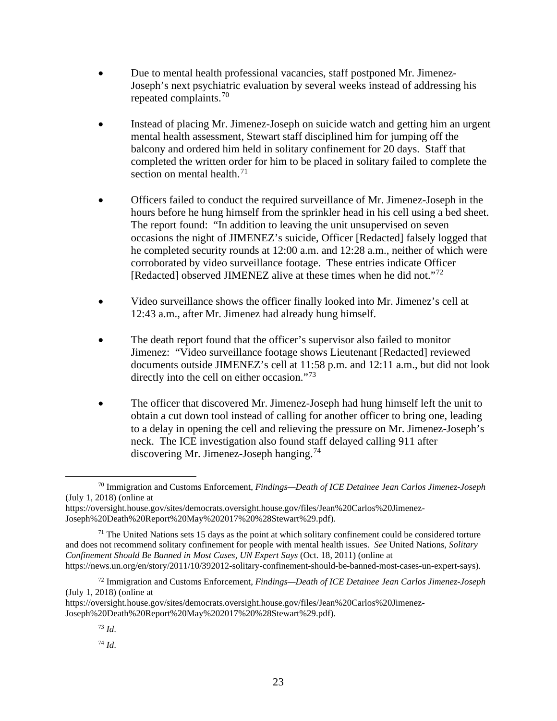- Due to mental health professional vacancies, staff postponed Mr. Jimenez-Joseph's next psychiatric evaluation by several weeks instead of addressing his repeated complaints.[70](#page-23-0)
- Instead of placing Mr. Jimenez-Joseph on suicide watch and getting him an urgent mental health assessment, Stewart staff disciplined him for jumping off the balcony and ordered him held in solitary confinement for 20 days. Staff that completed the written order for him to be placed in solitary failed to complete the section on mental health. $71$
- Officers failed to conduct the required surveillance of Mr. Jimenez-Joseph in the hours before he hung himself from the sprinkler head in his cell using a bed sheet. The report found: "In addition to leaving the unit unsupervised on seven occasions the night of JIMENEZ's suicide, Officer [Redacted] falsely logged that he completed security rounds at 12:00 a.m. and 12:28 a.m., neither of which were corroborated by video surveillance footage. These entries indicate Officer [Redacted] observed JIMENEZ alive at these times when he did not."<sup>72</sup>
- Video surveillance shows the officer finally looked into Mr. Jimenez's cell at 12:43 a.m., after Mr. Jimenez had already hung himself.
- The death report found that the officer's supervisor also failed to monitor Jimenez: "Video surveillance footage shows Lieutenant [Redacted] reviewed documents outside JIMENEZ's cell at 11:58 p.m. and 12:11 a.m., but did not look directly into the cell on either occasion."<sup>73</sup>
- The officer that discovered Mr. Jimenez-Joseph had hung himself left the unit to obtain a cut down tool instead of calling for another officer to bring one, leading to a delay in opening the cell and relieving the pressure on Mr. Jimenez-Joseph's neck. The ICE investigation also found staff delayed calling 911 after discovering Mr. Jimenez-Joseph hanging.<sup>[74](#page-23-4)</sup>

<span id="page-23-0"></span><sup>70</sup> Immigration and Customs Enforcement, *Findings—Death of ICE Detainee Jean Carlos Jimenez-Joseph* (July 1, 2018) (online at

https://oversight.house.gov/sites/democrats.oversight.house.gov/files/Jean%20Carlos%20Jimenez-Joseph%20Death%20Report%20May%202017%20%28Stewart%29.pdf).

<span id="page-23-1"></span> $71$  The United Nations sets 15 days as the point at which solitary confinement could be considered torture and does not recommend solitary confinement for people with mental health issues. *See* United Nations, *Solitary Confinement Should Be Banned in Most Cases, UN Expert Says* (Oct. 18, 2011) (online at

https://news.un.org/en/story/2011/10/392012-solitary-confinement-should-be-banned-most-cases-un-expert-says).

<span id="page-23-2"></span><sup>72</sup> Immigration and Customs Enforcement, *Findings—Death of ICE Detainee Jean Carlos Jimenez-Joseph* (July 1, 2018) (online at

<span id="page-23-4"></span><span id="page-23-3"></span>https://oversight.house.gov/sites/democrats.oversight.house.gov/files/Jean%20Carlos%20Jimenez-Joseph%20Death%20Report%20May%202017%20%28Stewart%29.pdf).

<sup>73</sup> *Id*.

<sup>74</sup> *Id*.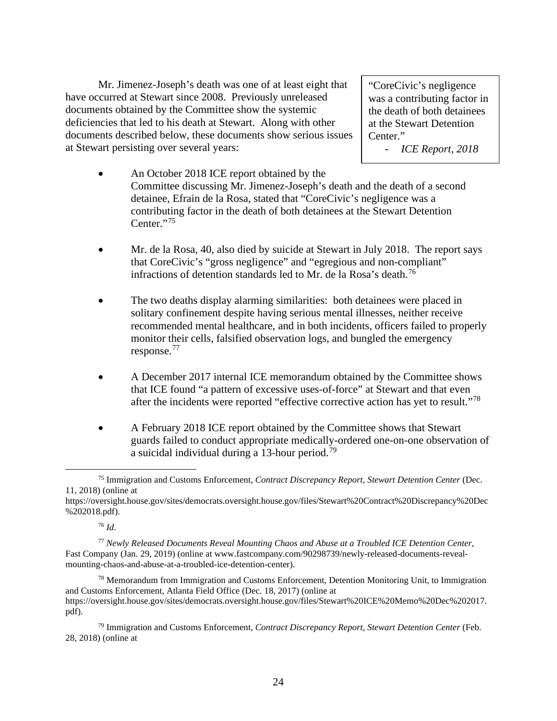Mr. Jimenez-Joseph's death was one of at least eight that have occurred at Stewart since 2008. Previously unreleased documents obtained by the Committee show the systemic deficiencies that led to his death at Stewart. Along with other documents described below, these documents show serious issues at Stewart persisting over several years:

"CoreCivic's negligence was a contributing factor in the death of both detainees at the Stewart Detention Center."

- *ICE Report, 2018*

- An October 2018 ICE report obtained by the Committee discussing Mr. Jimenez-Joseph's death and the death of a second detainee, Efrain de la Rosa, stated that "CoreCivic's negligence was a contributing factor in the death of both detainees at the Stewart Detention Center."<sup>75</sup>
- Mr. de la Rosa, 40, also died by suicide at Stewart in July 2018. The report says that CoreCivic's "gross negligence" and "egregious and non-compliant" infractions of detention standards led to Mr. de la Rosa's death.<sup>[76](#page-24-1)</sup>
- The two deaths display alarming similarities: both detainees were placed in solitary confinement despite having serious mental illnesses, neither receive recommended mental healthcare, and in both incidents, officers failed to properly monitor their cells, falsified observation logs, and bungled the emergency response.[77](#page-24-2)
- A December 2017 internal ICE memorandum obtained by the Committee shows that ICE found "a pattern of excessive uses-of-force" at Stewart and that even after the incidents were reported "effective corrective action has yet to result."<sup>[78](#page-24-3)</sup>
- A February 2018 ICE report obtained by the Committee shows that Stewart guards failed to conduct appropriate medically-ordered one-on-one observation of a suicidal individual during a 13-hour period.<sup>[79](#page-24-4)</sup>

<sup>76</sup> *Id*.

<span id="page-24-0"></span><sup>75</sup> Immigration and Customs Enforcement, *Contract Discrepancy Report, Stewart Detention Center* (Dec. 11, 2018) (online at

https://oversight.house.gov/sites/democrats.oversight.house.gov/files/Stewart%20Contract%20Discrepancy%20Dec %202018.pdf).

<span id="page-24-2"></span><span id="page-24-1"></span><sup>77</sup> *Newly Released Documents Reveal Mounting Chaos and Abuse at a Troubled ICE Detention Center*, Fast Company (Jan. 29, 2019) (online at www.fastcompany.com/90298739/newly-released-documents-revealmounting-chaos-and-abuse-at-a-troubled-ice-detention-center).

<span id="page-24-3"></span> $78$  Memorandum from Immigration and Customs Enforcement, Detention Monitoring Unit, to Immigration and Customs Enforcement, Atlanta Field Office (Dec. 18, 2017) (online at https://oversight.house.gov/sites/democrats.oversight.house.gov/files/Stewart%20ICE%20Memo%20Dec%202017. pdf).

<span id="page-24-4"></span><sup>79</sup> Immigration and Customs Enforcement, *Contract Discrepancy Report, Stewart Detention Center* (Feb. 28, 2018) (online at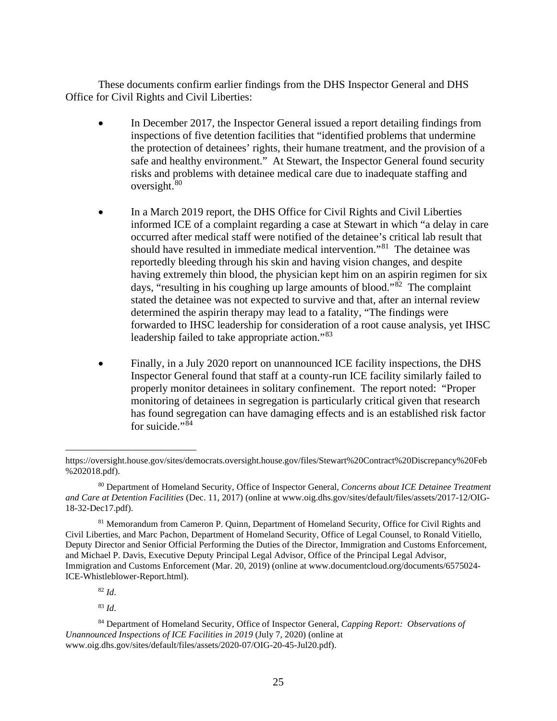These documents confirm earlier findings from the DHS Inspector General and DHS Office for Civil Rights and Civil Liberties:

- In December 2017, the Inspector General issued a report detailing findings from inspections of five detention facilities that "identified problems that undermine the protection of detainees' rights, their humane treatment, and the provision of a safe and healthy environment." At Stewart, the Inspector General found security risks and problems with detainee medical care due to inadequate staffing and oversight.<sup>[80](#page-25-0)</sup>
- In a March 2019 report, the DHS Office for Civil Rights and Civil Liberties informed ICE of a complaint regarding a case at Stewart in which "a delay in care occurred after medical staff were notified of the detainee's critical lab result that should have resulted in immediate medical intervention."[81](#page-25-1) The detainee was reportedly bleeding through his skin and having vision changes, and despite having extremely thin blood, the physician kept him on an aspirin regimen for six days, "resulting in his coughing up large amounts of blood."[82](#page-25-2) The complaint stated the detainee was not expected to survive and that, after an internal review determined the aspirin therapy may lead to a fatality, "The findings were forwarded to IHSC leadership for consideration of a root cause analysis, yet IHSC leadership failed to take appropriate action."[83](#page-25-3)
- Finally, in a July 2020 report on unannounced ICE facility inspections, the DHS Inspector General found that staff at a county-run ICE facility similarly failed to properly monitor detainees in solitary confinement. The report noted: "Proper monitoring of detainees in segregation is particularly critical given that research has found segregation can have damaging effects and is an established risk factor for suicide." $84$

<sup>82</sup> *Id*.

<sup>83</sup> *Id*.

https://oversight.house.gov/sites/democrats.oversight.house.gov/files/Stewart%20Contract%20Discrepancy%20Feb %202018.pdf).

<span id="page-25-0"></span><sup>80</sup> Department of Homeland Security, Office of Inspector General, *Concerns about ICE Detainee Treatment and Care at Detention Facilities* (Dec. 11, 2017) (online at www.oig.dhs.gov/sites/default/files/assets/2017-12/OIG-18-32-Dec17.pdf).

<span id="page-25-1"></span><sup>&</sup>lt;sup>81</sup> Memorandum from Cameron P. Quinn, Department of Homeland Security, Office for Civil Rights and Civil Liberties, and Marc Pachon, Department of Homeland Security, Office of Legal Counsel, to Ronald Vitiello, Deputy Director and Senior Official Performing the Duties of the Director, Immigration and Customs Enforcement, and Michael P. Davis, Executive Deputy Principal Legal Advisor, Office of the Principal Legal Advisor, Immigration and Customs Enforcement (Mar. 20, 2019) (online at www.documentcloud.org/documents/6575024- ICE-Whistleblower-Report.html).

<span id="page-25-4"></span><span id="page-25-3"></span><span id="page-25-2"></span><sup>84</sup> Department of Homeland Security, Office of Inspector General, *Capping Report: Observations of Unannounced Inspections of ICE Facilities in 2019* (July 7, 2020) (online at www.oig.dhs.gov/sites/default/files/assets/2020-07/OIG-20-45-Jul20.pdf).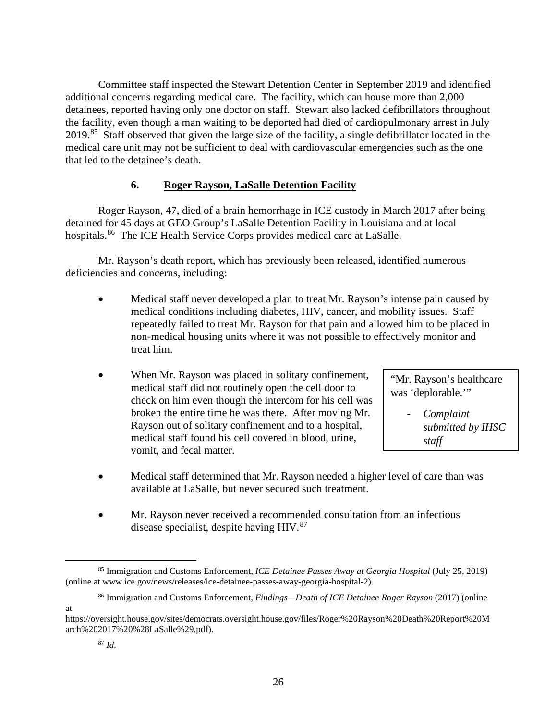Committee staff inspected the Stewart Detention Center in September 2019 and identified additional concerns regarding medical care. The facility, which can house more than 2,000 detainees, reported having only one doctor on staff. Stewart also lacked defibrillators throughout the facility, even though a man waiting to be deported had died of cardiopulmonary arrest in July 2019.[85](#page-26-1) Staff observed that given the large size of the facility, a single defibrillator located in the medical care unit may not be sufficient to deal with cardiovascular emergencies such as the one that led to the detainee's death.

## **6. Roger Rayson, LaSalle Detention Facility**

<span id="page-26-0"></span>Roger Rayson, 47, died of a brain hemorrhage in ICE custody in March 2017 after being detained for 45 days at GEO Group's LaSalle Detention Facility in Louisiana and at local hospitals.<sup>[86](#page-26-2)</sup> The ICE Health Service Corps provides medical care at LaSalle.

Mr. Rayson's death report, which has previously been released, identified numerous deficiencies and concerns, including:

- Medical staff never developed a plan to treat Mr. Rayson's intense pain caused by medical conditions including diabetes, HIV, cancer, and mobility issues. Staff repeatedly failed to treat Mr. Rayson for that pain and allowed him to be placed in non-medical housing units where it was not possible to effectively monitor and treat him.
- When Mr. Rayson was placed in solitary confinement, medical staff did not routinely open the cell door to check on him even though the intercom for his cell was broken the entire time he was there. After moving Mr. Rayson out of solitary confinement and to a hospital, medical staff found his cell covered in blood, urine, vomit, and fecal matter.

"Mr. Rayson's healthcare was 'deplorable."

> - *Complaint submitted by IHSC staff*

- Medical staff determined that Mr. Rayson needed a higher level of care than was available at LaSalle, but never secured such treatment.
- Mr. Rayson never received a recommended consultation from an infectious disease specialist, despite having HIV.<sup>[87](#page-26-3)</sup>

<span id="page-26-2"></span>at

<span id="page-26-1"></span><sup>85</sup> Immigration and Customs Enforcement, *ICE Detainee Passes Away at Georgia Hospital* (July 25, 2019) (online at www.ice.gov/news/releases/ice-detainee-passes-away-georgia-hospital-2).

<sup>86</sup> Immigration and Customs Enforcement, *Findings—Death of ICE Detainee Roger Rayson* (2017) (online

<span id="page-26-3"></span>https://oversight.house.gov/sites/democrats.oversight.house.gov/files/Roger%20Rayson%20Death%20Report%20M arch%202017%20%28LaSalle%29.pdf).

<sup>87</sup> *Id*.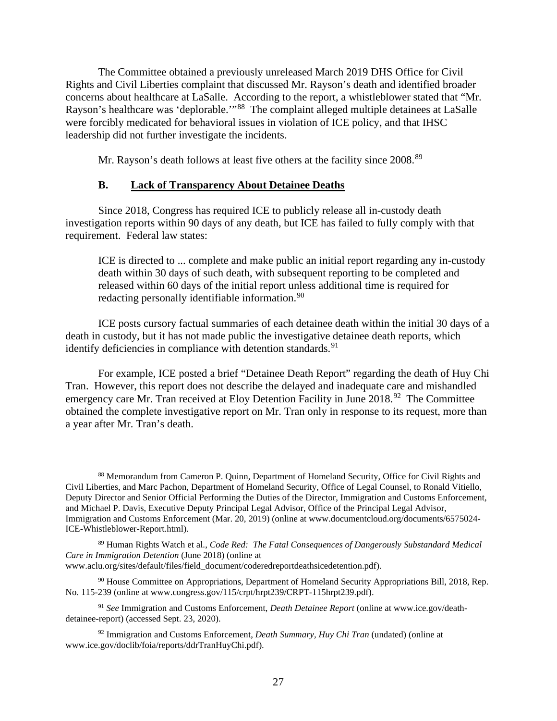The Committee obtained a previously unreleased March 2019 DHS Office for Civil Rights and Civil Liberties complaint that discussed Mr. Rayson's death and identified broader concerns about healthcare at LaSalle. According to the report, a whistleblower stated that "Mr. Rayson's healthcare was 'deplorable.'"<sup>[88](#page-27-0)</sup> The complaint alleged multiple detainees at LaSalle were forcibly medicated for behavioral issues in violation of ICE policy, and that IHSC leadership did not further investigate the incidents.

Mr. Rayson's death follows at least five others at the facility since 2008.<sup>[89](#page-27-1)</sup>

## **B. Lack of Transparency About Detainee Deaths**

Since 2018, Congress has required ICE to publicly release all in-custody death investigation reports within 90 days of any death, but ICE has failed to fully comply with that requirement. Federal law states:

ICE is directed to ... complete and make public an initial report regarding any in-custody death within 30 days of such death, with subsequent reporting to be completed and released within 60 days of the initial report unless additional time is required for redacting personally identifiable information.<sup>[90](#page-27-2)</sup>

ICE posts cursory factual summaries of each detainee death within the initial 30 days of a death in custody, but it has not made public the investigative detainee death reports, which identify deficiencies in compliance with detention standards.<sup>[91](#page-27-3)</sup>

For example, ICE posted a brief "Detainee Death Report" regarding the death of Huy Chi Tran. However, this report does not describe the delayed and inadequate care and mishandled emergency care Mr. Tran received at Eloy Detention Facility in June 2018.<sup>92</sup> The Committee obtained the complete investigative report on Mr. Tran only in response to its request, more than a year after Mr. Tran's death.

<span id="page-27-0"></span><sup>88</sup> Memorandum from Cameron P. Quinn, Department of Homeland Security, Office for Civil Rights and Civil Liberties, and Marc Pachon, Department of Homeland Security, Office of Legal Counsel, to Ronald Vitiello, Deputy Director and Senior Official Performing the Duties of the Director, Immigration and Customs Enforcement, and Michael P. Davis, Executive Deputy Principal Legal Advisor, Office of the Principal Legal Advisor, Immigration and Customs Enforcement (Mar. 20, 2019) (online at www.documentcloud.org/documents/6575024- ICE-Whistleblower-Report.html).

<span id="page-27-1"></span><sup>89</sup> Human Rights Watch et al., *Code Red: The Fatal Consequences of Dangerously Substandard Medical Care in Immigration Detention* (June 2018) (online at www.aclu.org/sites/default/files/field\_document/coderedreportdeathsicedetention.pdf).

<span id="page-27-2"></span><sup>90</sup> House Committee on Appropriations, Department of Homeland Security Appropriations Bill, 2018, Rep. No. 115-239 (online at www.congress.gov/115/crpt/hrpt239/CRPT-115hrpt239.pdf).

<span id="page-27-3"></span><sup>91</sup> *See* Immigration and Customs Enforcement, *Death Detainee Report* (online at www.ice.gov/deathdetainee-report) (accessed Sept. 23, 2020).

<span id="page-27-4"></span><sup>92</sup> Immigration and Customs Enforcement, *Death Summary, Huy Chi Tran* (undated) (online at www.ice.gov/doclib/foia/reports/ddrTranHuyChi.pdf).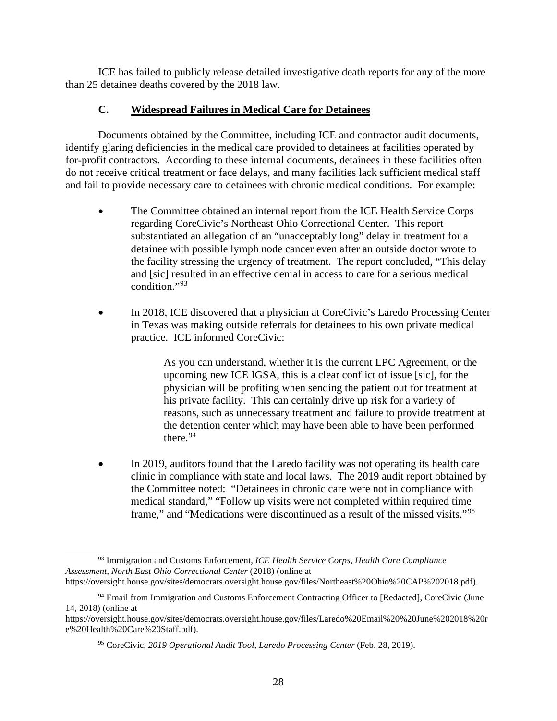ICE has failed to publicly release detailed investigative death reports for any of the more than 25 detainee deaths covered by the 2018 law.

## <span id="page-28-0"></span>**C. Widespread Failures in Medical Care for Detainees**

Documents obtained by the Committee, including ICE and contractor audit documents, identify glaring deficiencies in the medical care provided to detainees at facilities operated by for-profit contractors. According to these internal documents, detainees in these facilities often do not receive critical treatment or face delays, and many facilities lack sufficient medical staff and fail to provide necessary care to detainees with chronic medical conditions. For example:

- The Committee obtained an internal report from the ICE Health Service Corps regarding CoreCivic's Northeast Ohio Correctional Center. This report substantiated an allegation of an "unacceptably long" delay in treatment for a detainee with possible lymph node cancer even after an outside doctor wrote to the facility stressing the urgency of treatment. The report concluded, "This delay and [sic] resulted in an effective denial in access to care for a serious medical condition."[93](#page-28-1)
- In 2018, ICE discovered that a physician at CoreCivic's Laredo Processing Center in Texas was making outside referrals for detainees to his own private medical practice. ICE informed CoreCivic:

As you can understand, whether it is the current LPC Agreement, or the upcoming new ICE IGSA, this is a clear conflict of issue [sic], for the physician will be profiting when sending the patient out for treatment at his private facility. This can certainly drive up risk for a variety of reasons, such as unnecessary treatment and failure to provide treatment at the detention center which may have been able to have been performed there. $94$ 

In 2019, auditors found that the Laredo facility was not operating its health care clinic in compliance with state and local laws. The 2019 audit report obtained by the Committee noted: "Detainees in chronic care were not in compliance with medical standard," "Follow up visits were not completed within required time frame," and "Medications were discontinued as a result of the missed visits."[95](#page-28-3)

<span id="page-28-1"></span><sup>93</sup> Immigration and Customs Enforcement, *ICE Health Service Corps, Health Care Compliance Assessment, North East Ohio Correctional Center* (2018) (online at

https://oversight.house.gov/sites/democrats.oversight.house.gov/files/Northeast%20Ohio%20CAP%202018.pdf).

<span id="page-28-2"></span><sup>&</sup>lt;sup>94</sup> Email from Immigration and Customs Enforcement Contracting Officer to [Redacted], CoreCivic (June 14, 2018) (online at

<span id="page-28-3"></span>https://oversight.house.gov/sites/democrats.oversight.house.gov/files/Laredo%20Email%20%20June%202018%20r e%20Health%20Care%20Staff.pdf).

<sup>95</sup> CoreCivic, *2019 Operational Audit Tool, Laredo Processing Center* (Feb. 28, 2019).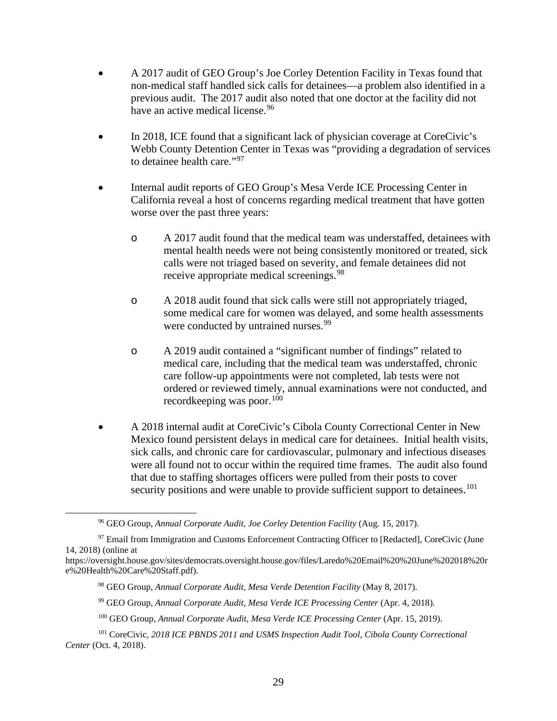- A 2017 audit of GEO Group's Joe Corley Detention Facility in Texas found that non-medical staff handled sick calls for detainees—a problem also identified in a previous audit. The 2017 audit also noted that one doctor at the facility did not have an active medical license.<sup>[96](#page-29-0)</sup>
- In 2018, ICE found that a significant lack of physician coverage at CoreCivic's Webb County Detention Center in Texas was "providing a degradation of services to detainee health care."[97](#page-29-1)
- Internal audit reports of GEO Group's Mesa Verde ICE Processing Center in California reveal a host of concerns regarding medical treatment that have gotten worse over the past three years:
	- o A 2017 audit found that the medical team was understaffed, detainees with mental health needs were not being consistently monitored or treated, sick calls were not triaged based on severity, and female detainees did not receive appropriate medical screenings.<sup>98</sup>
	- o A 2018 audit found that sick calls were still not appropriately triaged, some medical care for women was delayed, and some health assessments were conducted by untrained nurses.<sup>[99](#page-29-3)</sup>
	- o A 2019 audit contained a "significant number of findings" related to medical care, including that the medical team was understaffed, chronic care follow-up appointments were not completed, lab tests were not ordered or reviewed timely, annual examinations were not conducted, and recordkeeping was poor.<sup>[100](#page-29-4)</sup>
- A 2018 internal audit at CoreCivic's Cibola County Correctional Center in New Mexico found persistent delays in medical care for detainees. Initial health visits, sick calls, and chronic care for cardiovascular, pulmonary and infectious diseases were all found not to occur within the required time frames. The audit also found that due to staffing shortages officers were pulled from their posts to cover security positions and were unable to provide sufficient support to detainees.<sup>[101](#page-29-5)</sup>

<sup>96</sup> GEO Group, *Annual Corporate Audit, Joe Corley Detention Facility* (Aug. 15, 2017).

<span id="page-29-1"></span><span id="page-29-0"></span><sup>&</sup>lt;sup>97</sup> Email from Immigration and Customs Enforcement Contracting Officer to [Redacted], CoreCivic (June 14, 2018) (online at

<span id="page-29-2"></span>https://oversight.house.gov/sites/democrats.oversight.house.gov/files/Laredo%20Email%20%20June%202018%20r e%20Health%20Care%20Staff.pdf).

<sup>98</sup> GEO Group, *Annual Corporate Audit, Mesa Verde Detention Facility* (May 8, 2017).

<sup>99</sup> GEO Group, *Annual Corporate Audit, Mesa Verde ICE Processing Center* (Apr. 4, 2018).

<sup>100</sup> GEO Group, *Annual Corporate Audit, Mesa Verde ICE Processing Center* (Apr. 15, 2019).

<span id="page-29-5"></span><span id="page-29-4"></span><span id="page-29-3"></span><sup>101</sup> CoreCivic, *2018 ICE PBNDS 2011 and USMS Inspection Audit Tool, Cibola County Correctional Center* (Oct. 4, 2018).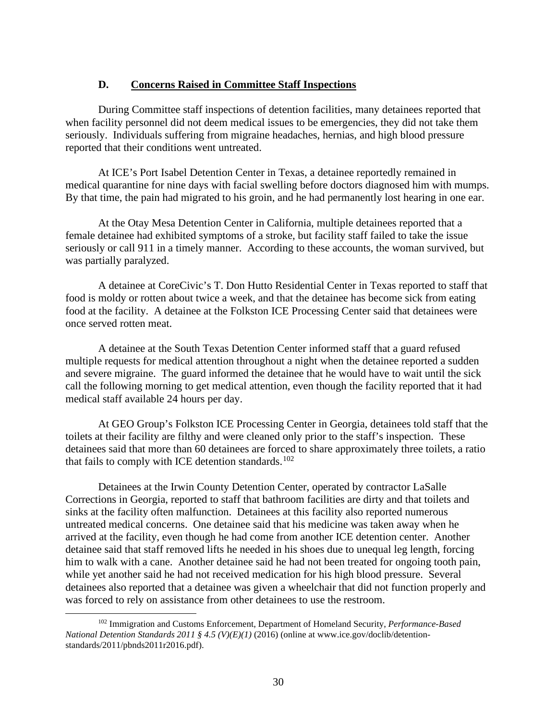#### **D. Concerns Raised in Committee Staff Inspections**

<span id="page-30-0"></span>During Committee staff inspections of detention facilities, many detainees reported that when facility personnel did not deem medical issues to be emergencies, they did not take them seriously. Individuals suffering from migraine headaches, hernias, and high blood pressure reported that their conditions went untreated.

At ICE's Port Isabel Detention Center in Texas, a detainee reportedly remained in medical quarantine for nine days with facial swelling before doctors diagnosed him with mumps. By that time, the pain had migrated to his groin, and he had permanently lost hearing in one ear.

At the Otay Mesa Detention Center in California, multiple detainees reported that a female detainee had exhibited symptoms of a stroke, but facility staff failed to take the issue seriously or call 911 in a timely manner. According to these accounts, the woman survived, but was partially paralyzed.

A detainee at CoreCivic's T. Don Hutto Residential Center in Texas reported to staff that food is moldy or rotten about twice a week, and that the detainee has become sick from eating food at the facility. A detainee at the Folkston ICE Processing Center said that detainees were once served rotten meat.

A detainee at the South Texas Detention Center informed staff that a guard refused multiple requests for medical attention throughout a night when the detainee reported a sudden and severe migraine. The guard informed the detainee that he would have to wait until the sick call the following morning to get medical attention, even though the facility reported that it had medical staff available 24 hours per day.

At GEO Group's Folkston ICE Processing Center in Georgia, detainees told staff that the toilets at their facility are filthy and were cleaned only prior to the staff's inspection. These detainees said that more than 60 detainees are forced to share approximately three toilets, a ratio that fails to comply with ICE detention standards.<sup>[102](#page-30-1)</sup>

Detainees at the Irwin County Detention Center, operated by contractor LaSalle Corrections in Georgia, reported to staff that bathroom facilities are dirty and that toilets and sinks at the facility often malfunction. Detainees at this facility also reported numerous untreated medical concerns. One detainee said that his medicine was taken away when he arrived at the facility, even though he had come from another ICE detention center. Another detainee said that staff removed lifts he needed in his shoes due to unequal leg length, forcing him to walk with a cane. Another detainee said he had not been treated for ongoing tooth pain, while yet another said he had not received medication for his high blood pressure. Several detainees also reported that a detainee was given a wheelchair that did not function properly and was forced to rely on assistance from other detainees to use the restroom.

<span id="page-30-1"></span><sup>102</sup> Immigration and Customs Enforcement, Department of Homeland Security, *Performance-Based National Detention Standards 2011 § 4.5 (V)(E)(1)* (2016) (online at www.ice.gov/doclib/detentionstandards/2011/pbnds2011r2016.pdf).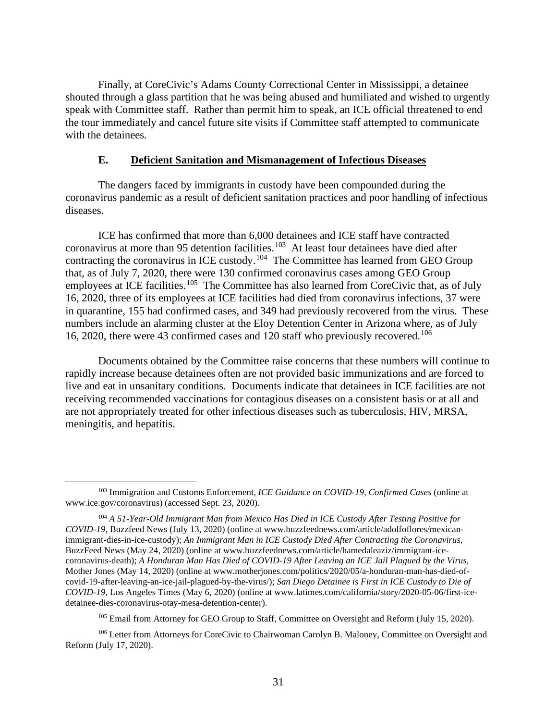Finally, at CoreCivic's Adams County Correctional Center in Mississippi, a detainee shouted through a glass partition that he was being abused and humiliated and wished to urgently speak with Committee staff. Rather than permit him to speak, an ICE official threatened to end the tour immediately and cancel future site visits if Committee staff attempted to communicate with the detainees.

#### **E. Deficient Sanitation and Mismanagement of Infectious Diseases**

<span id="page-31-0"></span>The dangers faced by immigrants in custody have been compounded during the coronavirus pandemic as a result of deficient sanitation practices and poor handling of infectious diseases.

ICE has confirmed that more than 6,000 detainees and ICE staff have contracted coronavirus at more than 95 detention facilities.<sup>[103](#page-31-1)</sup> At least four detainees have died after contracting the coronavirus in ICE custody.<sup>[104](#page-31-2)</sup> The Committee has learned from GEO Group that, as of July 7, 2020, there were 130 confirmed coronavirus cases among GEO Group employees at ICE facilities.<sup>[105](#page-31-3)</sup> The Committee has also learned from CoreCivic that, as of July 16, 2020, three of its employees at ICE facilities had died from coronavirus infections, 37 were in quarantine, 155 had confirmed cases, and 349 had previously recovered from the virus. These numbers include an alarming cluster at the Eloy Detention Center in Arizona where, as of July 16, 2020, there were 43 confirmed cases and 120 staff who previously recovered.[106](#page-31-4) 

Documents obtained by the Committee raise concerns that these numbers will continue to rapidly increase because detainees often are not provided basic immunizations and are forced to live and eat in unsanitary conditions. Documents indicate that detainees in ICE facilities are not receiving recommended vaccinations for contagious diseases on a consistent basis or at all and are not appropriately treated for other infectious diseases such as tuberculosis, HIV, MRSA, meningitis, and hepatitis.

<sup>105</sup> Email from Attorney for GEO Group to Staff, Committee on Oversight and Reform (July 15, 2020).

<span id="page-31-1"></span><sup>103</sup> Immigration and Customs Enforcement, *ICE Guidance on COVID-19, Confirmed Cases* (online at www.ice.gov/coronavirus) (accessed Sept. 23, 2020).

<span id="page-31-2"></span><sup>104</sup> *A 51-Year-Old Immigrant Man from Mexico Has Died in ICE Custody After Testing Positive for COVID-19*, Buzzfeed News (July 13, 2020) (online at www.buzzfeednews.com/article/adolfoflores/mexicanimmigrant-dies-in-ice-custody); *An Immigrant Man in ICE Custody Died After Contracting the Coronavirus*, BuzzFeed News (May 24, 2020) (online at www.buzzfeednews.com/article/hamedaleaziz/immigrant-icecoronavirus-death); *A Honduran Man Has Died of COVID-19 After Leaving an ICE Jail Plagued by the Virus*, Mother Jones (May 14, 2020) (online at www.motherjones.com/politics/2020/05/a-honduran-man-has-died-ofcovid-19-after-leaving-an-ice-jail-plagued-by-the-virus/); *San Diego Detainee is First in ICE Custody to Die of COVID-19*, Los Angeles Times (May 6, 2020) (online at www.latimes.com/california/story/2020-05-06/first-icedetainee-dies-coronavirus-otay-mesa-detention-center).

<span id="page-31-4"></span><span id="page-31-3"></span><sup>&</sup>lt;sup>106</sup> Letter from Attorneys for CoreCivic to Chairwoman Carolyn B. Maloney, Committee on Oversight and Reform (July 17, 2020).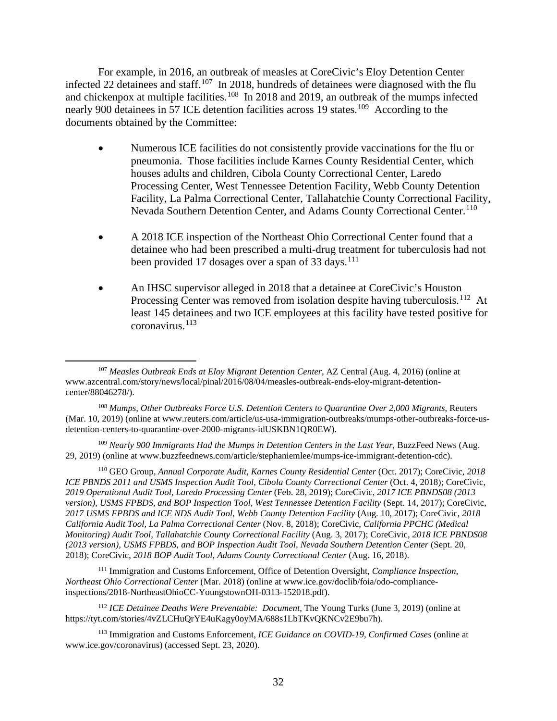For example, in 2016, an outbreak of measles at CoreCivic's Eloy Detention Center infected 22 detainees and staff.<sup>107</sup> In 2018, hundreds of detainees were diagnosed with the flu and chickenpox at multiple facilities.<sup>[108](#page-32-1)</sup> In 2018 and 2019, an outbreak of the mumps infected nearly 900 detainees in 57 ICE detention facilities across 19 states.<sup>109</sup> According to the documents obtained by the Committee:

- Numerous ICE facilities do not consistently provide vaccinations for the flu or pneumonia. Those facilities include Karnes County Residential Center, which houses adults and children, Cibola County Correctional Center, Laredo Processing Center, West Tennessee Detention Facility, Webb County Detention Facility, La Palma Correctional Center, Tallahatchie County Correctional Facility, Nevada Southern Detention Center, and Adams County Correctional Center.<sup>[110](#page-32-3)</sup>
- A 2018 ICE inspection of the Northeast Ohio Correctional Center found that a detainee who had been prescribed a multi-drug treatment for tuberculosis had not been provided 17 dosages over a span of 33 days.<sup>111</sup>
- An IHSC supervisor alleged in 2018 that a detainee at CoreCivic's Houston Processing Center was removed from isolation despite having tuberculosis.<sup>112</sup> At least 145 detainees and two ICE employees at this facility have tested positive for coronavirus. [113](#page-32-6)

<span id="page-32-2"></span><sup>109</sup> *Nearly 900 Immigrants Had the Mumps in Detention Centers in the Last Year*, BuzzFeed News (Aug. 29, 2019) (online at www.buzzfeednews.com/article/stephaniemlee/mumps-ice-immigrant-detention-cdc).

<span id="page-32-3"></span><sup>110</sup> GEO Group, *Annual Corporate Audit, Karnes County Residential Center* (Oct. 2017); CoreCivic, *2018 ICE PBNDS 2011 and USMS Inspection Audit Tool, Cibola County Correctional Center* (Oct. 4, 2018); CoreCivic, *2019 Operational Audit Tool, Laredo Processing Center* (Feb. 28, 2019); CoreCivic, *2017 ICE PBNDS08 (2013 version), USMS FPBDS, and BOP Inspection Tool, West Tennessee Detention Facility* (Sept. 14, 2017); CoreCivic, *2017 USMS FPBDS and ICE NDS Audit Tool, Webb County Detention Facility* (Aug. 10, 2017); CoreCivic, *2018 California Audit Tool, La Palma Correctional Center* (Nov. 8, 2018); CoreCivic, *California PPCHC (Medical Monitoring) Audit Tool, Tallahatchie County Correctional Facility* (Aug. 3, 2017); CoreCivic, *2018 ICE PBNDS08 (2013 version), USMS FPBDS, and BOP Inspection Audit Tool, Nevada Southern Detention Center* (Sept. 20, 2018); CoreCivic, *2018 BOP Audit Tool, Adams County Correctional Center* (Aug. 16, 2018).

<span id="page-32-4"></span><sup>111</sup> Immigration and Customs Enforcement, Office of Detention Oversight, *Compliance Inspection, Northeast Ohio Correctional Center* (Mar. 2018) (online at www.ice.gov/doclib/foia/odo-complianceinspections/2018-NortheastOhioCC-YoungstownOH-0313-152018.pdf).

<span id="page-32-5"></span><sup>112</sup> *ICE Detainee Deaths Were Preventable: Document*, The Young Turks (June 3, 2019) (online at https://tyt.com/stories/4vZLCHuQrYE4uKagy0oyMA/688s1LbTKvQKNCv2E9bu7h).

<span id="page-32-6"></span><sup>113</sup> Immigration and Customs Enforcement, *ICE Guidance on COVID-19, Confirmed Cases* (online at www.ice.gov/coronavirus) (accessed Sept. 23, 2020).

<span id="page-32-0"></span><sup>107</sup> *Measles Outbreak Ends at Eloy Migrant Detention Center*, AZ Central (Aug. 4, 2016) (online at www.azcentral.com/story/news/local/pinal/2016/08/04/measles-outbreak-ends-eloy-migrant-detentioncenter/88046278/).

<span id="page-32-1"></span><sup>108</sup> *Mumps, Other Outbreaks Force U.S. Detention Centers to Quarantine Over 2,000 Migrants*, Reuters (Mar. 10, 2019) (online at www.reuters.com/article/us-usa-immigration-outbreaks/mumps-other-outbreaks-force-usdetention-centers-to-quarantine-over-2000-migrants-idUSKBN1QR0EW).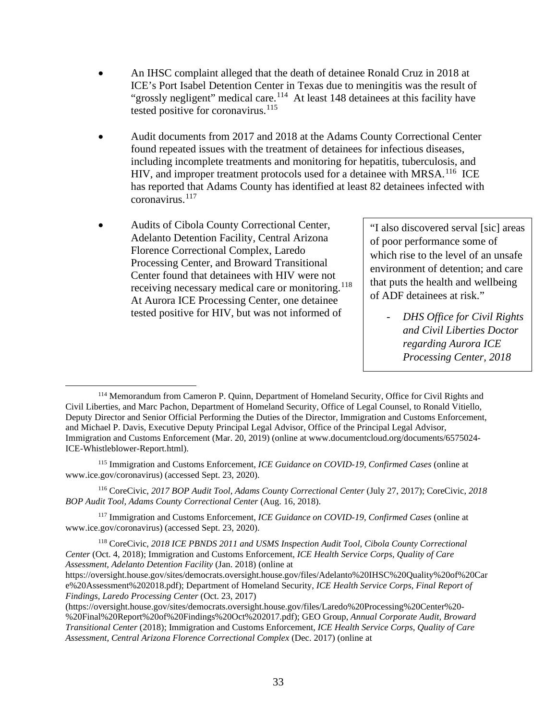- An IHSC complaint alleged that the death of detainee Ronald Cruz in 2018 at ICE's Port Isabel Detention Center in Texas due to meningitis was the result of "grossly negligent" medical care.<sup>114</sup> At least 148 detainees at this facility have tested positive for coronavirus.<sup>[115](#page-33-1)</sup>
- Audit documents from 2017 and 2018 at the Adams County Correctional Center found repeated issues with the treatment of detainees for infectious diseases, including incomplete treatments and monitoring for hepatitis, tuberculosis, and HIV, and improper treatment protocols used for a detainee with MRSA.<sup>116</sup> ICE has reported that Adams County has identified at least 82 detainees infected with coronavirus. [117](#page-33-3)
- Audits of Cibola County Correctional Center, Adelanto Detention Facility, Central Arizona Florence Correctional Complex, Laredo Processing Center, and Broward Transitional Center found that detainees with HIV were not receiving necessary medical care or monitoring.<sup>[118](#page-33-4)</sup> At Aurora ICE Processing Center, one detainee tested positive for HIV, but was not informed of

"I also discovered serval [sic] areas of poor performance some of which rise to the level of an unsafe environment of detention; and care that puts the health and wellbeing of ADF detainees at risk."

- *DHS Office for Civil Rights and Civil Liberties Doctor regarding Aurora ICE Processing Center, 2018*

<span id="page-33-2"></span><sup>116</sup> CoreCivic, *2017 BOP Audit Tool, Adams County Correctional Center* (July 27, 2017); CoreCivic, *2018 BOP Audit Tool, Adams County Correctional Center* (Aug. 16, 2018).

<span id="page-33-3"></span><sup>117</sup> Immigration and Customs Enforcement, *ICE Guidance on COVID-19, Confirmed Cases* (online at www.ice.gov/coronavirus) (accessed Sept. 23, 2020).

<span id="page-33-4"></span><sup>118</sup> CoreCivic, *2018 ICE PBNDS 2011 and USMS Inspection Audit Tool, Cibola County Correctional Center* (Oct. 4, 2018); Immigration and Customs Enforcement, *ICE Health Service Corps, Quality of Care Assessment, Adelanto Detention Facility* (Jan. 2018) (online at https://oversight.house.gov/sites/democrats.oversight.house.gov/files/Adelanto%20IHSC%20Quality%20of%20Car e%20Assessment%202018.pdf); Department of Homeland Security, *ICE Health Service Corps, Final Report of* 

*Findings, Laredo Processing Center* (Oct. 23, 2017) (https://oversight.house.gov/sites/democrats.oversight.house.gov/files/Laredo%20Processing%20Center%20-

%20Final%20Report%20of%20Findings%20Oct%202017.pdf); GEO Group, *Annual Corporate Audit, Broward Transitional Center* (2018); Immigration and Customs Enforcement, *ICE Health Service Corps, Quality of Care Assessment, Central Arizona Florence Correctional Complex* (Dec. 2017) (online at

<span id="page-33-0"></span><sup>114</sup> Memorandum from Cameron P. Quinn, Department of Homeland Security, Office for Civil Rights and Civil Liberties, and Marc Pachon, Department of Homeland Security, Office of Legal Counsel, to Ronald Vitiello, Deputy Director and Senior Official Performing the Duties of the Director, Immigration and Customs Enforcement, and Michael P. Davis, Executive Deputy Principal Legal Advisor, Office of the Principal Legal Advisor, Immigration and Customs Enforcement (Mar. 20, 2019) (online at www.documentcloud.org/documents/6575024- ICE-Whistleblower-Report.html).

<span id="page-33-1"></span><sup>115</sup> Immigration and Customs Enforcement, *ICE Guidance on COVID-19, Confirmed Cases* (online at www.ice.gov/coronavirus) (accessed Sept. 23, 2020).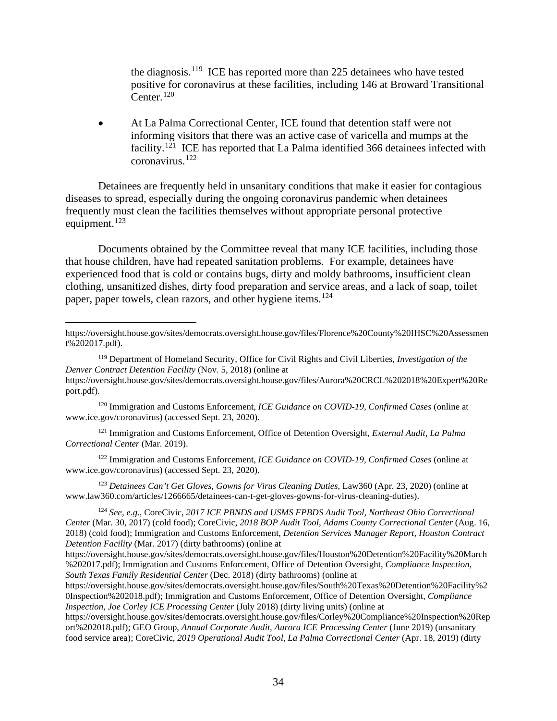the diagnosis.[119](#page-34-1) ICE has reported more than 225 detainees who have tested positive for coronavirus at these facilities, including 146 at Broward Transitional Center. $120$ 

• At La Palma Correctional Center, ICE found that detention staff were not informing visitors that there was an active case of varicella and mumps at the facility.<sup>121</sup> ICE has reported that La Palma identified 366 detainees infected with coronavirus. [122](#page-34-4)

Detainees are frequently held in unsanitary conditions that make it easier for contagious diseases to spread, especially during the ongoing coronavirus pandemic when detainees frequently must clean the facilities themselves without appropriate personal protective equipment. $123$ 

Documents obtained by the Committee reveal that many ICE facilities, including those that house children, have had repeated sanitation problems. For example, detainees have experienced food that is cold or contains bugs, dirty and moldy bathrooms, insufficient clean clothing, unsanitized dishes, dirty food preparation and service areas, and a lack of soap, toilet paper, paper towels, clean razors, and other hygiene items.<sup>[124](#page-34-6)</sup>

<span id="page-34-2"></span><sup>120</sup> Immigration and Customs Enforcement, *ICE Guidance on COVID-19, Confirmed Cases* (online at www.ice.gov/coronavirus) (accessed Sept. 23, 2020).

<span id="page-34-3"></span><sup>121</sup> Immigration and Customs Enforcement, Office of Detention Oversight, *External Audit, La Palma Correctional Center* (Mar. 2019).

<span id="page-34-4"></span><sup>122</sup> Immigration and Customs Enforcement, *ICE Guidance on COVID-19, Confirmed Cases* (online at www.ice.gov/coronavirus) (accessed Sept. 23, 2020).

<span id="page-34-5"></span><sup>123</sup> *Detainees Can't Get Gloves, Gowns for Virus Cleaning Duties*, Law360 (Apr. 23, 2020) (online at www.law360.com/articles/1266665/detainees-can-t-get-gloves-gowns-for-virus-cleaning-duties).

<span id="page-34-6"></span><sup>124</sup> *See, e.g*., CoreCivic, *2017 ICE PBNDS and USMS FPBDS Audit Tool, Northeast Ohio Correctional Center* (Mar. 30, 2017) (cold food); CoreCivic, *2018 BOP Audit Tool, Adams County Correctional Center* (Aug. 16, 2018) (cold food); Immigration and Customs Enforcement, *Detention Services Manager Report, Houston Contract Detention Facility* (Mar. 2017) (dirty bathrooms) (online at

<span id="page-34-0"></span>https://oversight.house.gov/sites/democrats.oversight.house.gov/files/Florence%20County%20IHSC%20Assessmen t%202017.pdf).

<span id="page-34-1"></span><sup>119</sup> Department of Homeland Security, Office for Civil Rights and Civil Liberties, *Investigation of the Denver Contract Detention Facility* (Nov. 5, 2018) (online at https://oversight.house.gov/sites/democrats.oversight.house.gov/files/Aurora%20CRCL%202018%20Expert%20Re port.pdf).

https://oversight.house.gov/sites/democrats.oversight.house.gov/files/Houston%20Detention%20Facility%20March %202017.pdf); Immigration and Customs Enforcement, Office of Detention Oversight, *Compliance Inspection, South Texas Family Residential Center* (Dec. 2018) (dirty bathrooms) (online at

https://oversight.house.gov/sites/democrats.oversight.house.gov/files/South%20Texas%20Detention%20Facility%2 0Inspection%202018.pdf); Immigration and Customs Enforcement, Office of Detention Oversight, *Compliance Inspection, Joe Corley ICE Processing Center* (July 2018) (dirty living units) (online at

https://oversight.house.gov/sites/democrats.oversight.house.gov/files/Corley%20Compliance%20Inspection%20Rep ort%202018.pdf); GEO Group, *Annual Corporate Audit, Aurora ICE Processing Center* (June 2019) (unsanitary food service area); CoreCivic, *2019 Operational Audit Tool, La Palma Correctional Center* (Apr. 18, 2019) (dirty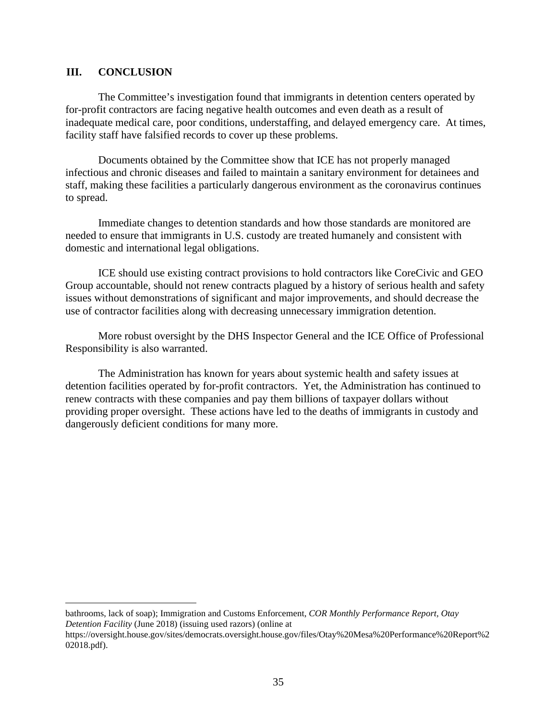#### <span id="page-35-0"></span>**III. CONCLUSION**

The Committee's investigation found that immigrants in detention centers operated by for-profit contractors are facing negative health outcomes and even death as a result of inadequate medical care, poor conditions, understaffing, and delayed emergency care. At times, facility staff have falsified records to cover up these problems.

Documents obtained by the Committee show that ICE has not properly managed infectious and chronic diseases and failed to maintain a sanitary environment for detainees and staff, making these facilities a particularly dangerous environment as the coronavirus continues to spread.

Immediate changes to detention standards and how those standards are monitored are needed to ensure that immigrants in U.S. custody are treated humanely and consistent with domestic and international legal obligations.

ICE should use existing contract provisions to hold contractors like CoreCivic and GEO Group accountable, should not renew contracts plagued by a history of serious health and safety issues without demonstrations of significant and major improvements, and should decrease the use of contractor facilities along with decreasing unnecessary immigration detention.

More robust oversight by the DHS Inspector General and the ICE Office of Professional Responsibility is also warranted.

The Administration has known for years about systemic health and safety issues at detention facilities operated by for-profit contractors. Yet, the Administration has continued to renew contracts with these companies and pay them billions of taxpayer dollars without providing proper oversight. These actions have led to the deaths of immigrants in custody and dangerously deficient conditions for many more.

bathrooms, lack of soap); Immigration and Customs Enforcement, *COR Monthly Performance Report, Otay Detention Facility* (June 2018) (issuing used razors) (online at

https://oversight.house.gov/sites/democrats.oversight.house.gov/files/Otay%20Mesa%20Performance%20Report%2 02018.pdf).